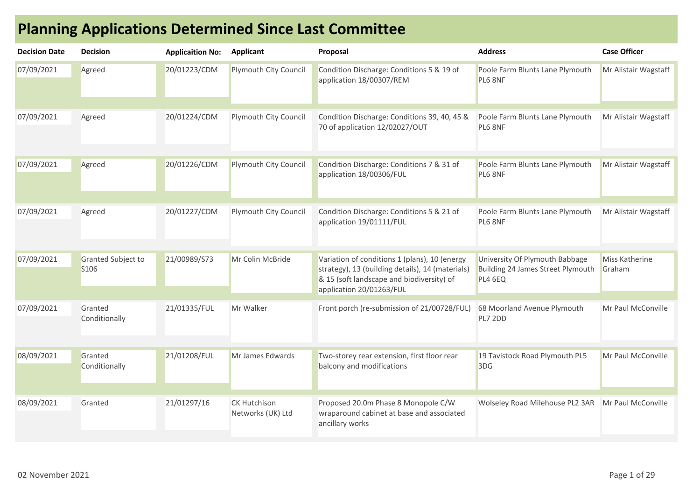| <b>Decision Date</b> | <b>Decision</b>                        | <b>Applicaition No:</b> | Applicant                                | Proposal                                                                                                                                                                   | <b>Address</b>                                                                 | <b>Case Officer</b>             |
|----------------------|----------------------------------------|-------------------------|------------------------------------------|----------------------------------------------------------------------------------------------------------------------------------------------------------------------------|--------------------------------------------------------------------------------|---------------------------------|
| 07/09/2021           | Agreed                                 | 20/01223/CDM            | Plymouth City Council                    | Condition Discharge: Conditions 5 & 19 of<br>application 18/00307/REM                                                                                                      | Poole Farm Blunts Lane Plymouth<br>PL6 8NF                                     | Mr Alistair Wagstaff            |
| 07/09/2021           | Agreed                                 | 20/01224/CDM            | Plymouth City Council                    | Condition Discharge: Conditions 39, 40, 45 &<br>70 of application 12/02027/OUT                                                                                             | Poole Farm Blunts Lane Plymouth<br>PL6 8NF                                     | Mr Alistair Wagstaff            |
| 07/09/2021           | Agreed                                 | 20/01226/CDM            | Plymouth City Council                    | Condition Discharge: Conditions 7 & 31 of<br>application 18/00306/FUL                                                                                                      | Poole Farm Blunts Lane Plymouth<br>PL6 8NF                                     | Mr Alistair Wagstaff            |
| 07/09/2021           | Agreed                                 | 20/01227/CDM            | Plymouth City Council                    | Condition Discharge: Conditions 5 & 21 of<br>application 19/01111/FUL                                                                                                      | Poole Farm Blunts Lane Plymouth<br>PL6 8NF                                     | Mr Alistair Wagstaff            |
| 07/09/2021           | Granted Subject to<br>S <sub>106</sub> | 21/00989/S73            | Mr Colin McBride                         | Variation of conditions 1 (plans), 10 (energy<br>strategy), 13 (building details), 14 (materials)<br>& 15 (soft landscape and biodiversity) of<br>application 20/01263/FUL | University Of Plymouth Babbage<br>Building 24 James Street Plymouth<br>PL4 6EQ | <b>Miss Katherine</b><br>Graham |
| 07/09/2021           | Granted<br>Conditionally               | 21/01335/FUL            | Mr Walker                                | Front porch (re-submission of 21/00728/FUL)                                                                                                                                | 68 Moorland Avenue Plymouth<br>PL7 2DD                                         | Mr Paul McConville              |
| 08/09/2021           | Granted<br>Conditionally               | 21/01208/FUL            | Mr James Edwards                         | Two-storey rear extension, first floor rear<br>balcony and modifications                                                                                                   | 19 Tavistock Road Plymouth PL5<br>3DG                                          | Mr Paul McConville              |
| 08/09/2021           | Granted                                | 21/01297/16             | <b>CK Hutchison</b><br>Networks (UK) Ltd | Proposed 20.0m Phase 8 Monopole C/W<br>wraparound cabinet at base and associated<br>ancillary works                                                                        | Wolseley Road Milehouse PL2 3AR Mr Paul McConville                             |                                 |

## **Planning Applications Determined Since Last Committee**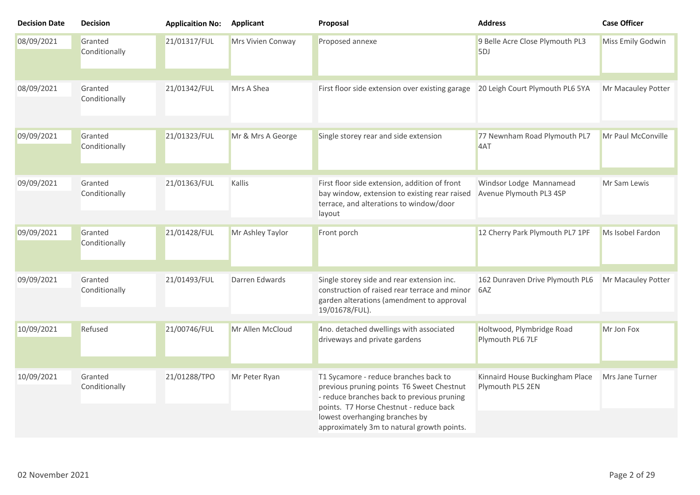| <b>Decision Date</b> | <b>Decision</b>          | <b>Applicaition No:</b> | <b>Applicant</b>  | Proposal                                                                                                                                                                                                                                                    | <b>Address</b>                                      | <b>Case Officer</b> |
|----------------------|--------------------------|-------------------------|-------------------|-------------------------------------------------------------------------------------------------------------------------------------------------------------------------------------------------------------------------------------------------------------|-----------------------------------------------------|---------------------|
| 08/09/2021           | Granted<br>Conditionally | 21/01317/FUL            | Mrs Vivien Conway | Proposed annexe                                                                                                                                                                                                                                             | 9 Belle Acre Close Plymouth PL3<br>5DJ              | Miss Emily Godwin   |
| 08/09/2021           | Granted<br>Conditionally | 21/01342/FUL            | Mrs A Shea        | First floor side extension over existing garage                                                                                                                                                                                                             | 20 Leigh Court Plymouth PL6 5YA                     | Mr Macauley Potter  |
| 09/09/2021           | Granted<br>Conditionally | 21/01323/FUL            | Mr & Mrs A George | Single storey rear and side extension                                                                                                                                                                                                                       | 77 Newnham Road Plymouth PL7<br>4AT                 | Mr Paul McConville  |
| 09/09/2021           | Granted<br>Conditionally | 21/01363/FUL            | Kallis            | First floor side extension, addition of front<br>bay window, extension to existing rear raised<br>terrace, and alterations to window/door<br>layout                                                                                                         | Windsor Lodge Mannamead<br>Avenue Plymouth PL3 4SP  | Mr Sam Lewis        |
| 09/09/2021           | Granted<br>Conditionally | 21/01428/FUL            | Mr Ashley Taylor  | Front porch                                                                                                                                                                                                                                                 | 12 Cherry Park Plymouth PL7 1PF                     | Ms Isobel Fardon    |
| 09/09/2021           | Granted<br>Conditionally | 21/01493/FUL            | Darren Edwards    | Single storey side and rear extension inc.<br>construction of raised rear terrace and minor<br>garden alterations (amendment to approval<br>19/01678/FUL).                                                                                                  | 162 Dunraven Drive Plymouth PL6<br>6AZ              | Mr Macauley Potter  |
| 10/09/2021           | Refused                  | 21/00746/FUL            | Mr Allen McCloud  | 4no. detached dwellings with associated<br>driveways and private gardens                                                                                                                                                                                    | Holtwood, Plymbridge Road<br>Plymouth PL6 7LF       | Mr Jon Fox          |
| 10/09/2021           | Granted<br>Conditionally | 21/01288/TPO            | Mr Peter Ryan     | T1 Sycamore - reduce branches back to<br>previous pruning points T6 Sweet Chestnut<br>- reduce branches back to previous pruning<br>points. T7 Horse Chestnut - reduce back<br>lowest overhanging branches by<br>approximately 3m to natural growth points. | Kinnaird House Buckingham Place<br>Plymouth PL5 2EN | Mrs Jane Turner     |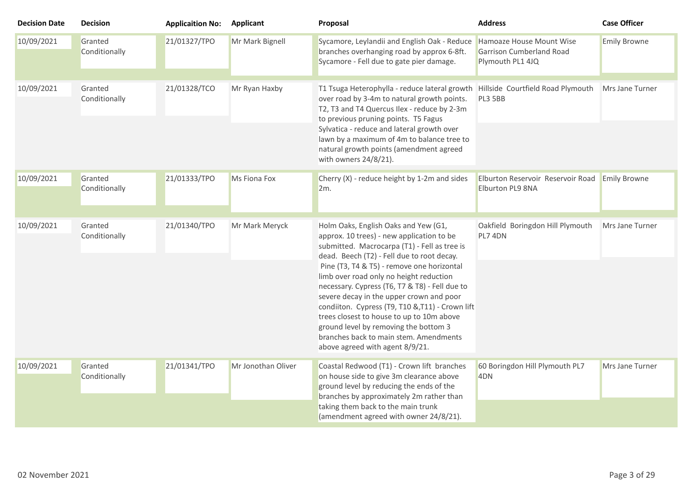| <b>Decision Date</b> | <b>Decision</b>          | <b>Applicaition No:</b> | <b>Applicant</b>   | Proposal                                                                                                                                                                                                                                                                                                                                                                                                                                                                                                                                                                                      | <b>Address</b>                                                           | <b>Case Officer</b> |
|----------------------|--------------------------|-------------------------|--------------------|-----------------------------------------------------------------------------------------------------------------------------------------------------------------------------------------------------------------------------------------------------------------------------------------------------------------------------------------------------------------------------------------------------------------------------------------------------------------------------------------------------------------------------------------------------------------------------------------------|--------------------------------------------------------------------------|---------------------|
| 10/09/2021           | Granted<br>Conditionally | 21/01327/TPO            | Mr Mark Bignell    | Sycamore, Leylandii and English Oak - Reduce<br>branches overhanging road by approx 6-8ft.<br>Sycamore - Fell due to gate pier damage.                                                                                                                                                                                                                                                                                                                                                                                                                                                        | Hamoaze House Mount Wise<br>Garrison Cumberland Road<br>Plymouth PL1 4JQ | <b>Emily Browne</b> |
| 10/09/2021           | Granted<br>Conditionally | 21/01328/TCO            | Mr Ryan Haxby      | T1 Tsuga Heterophylla - reduce lateral growth Hillside Courtfield Road Plymouth<br>over road by 3-4m to natural growth points.<br>T2, T3 and T4 Quercus Ilex - reduce by 2-3m<br>to previous pruning points. T5 Fagus<br>Sylvatica - reduce and lateral growth over<br>lawn by a maximum of 4m to balance tree to<br>natural growth points (amendment agreed<br>with owners 24/8/21).                                                                                                                                                                                                         | PL3 5BB                                                                  | Mrs Jane Turner     |
| 10/09/2021           | Granted<br>Conditionally | 21/01333/TPO            | Ms Fiona Fox       | Cherry $(X)$ - reduce height by 1-2m and sides<br>2m.                                                                                                                                                                                                                                                                                                                                                                                                                                                                                                                                         | Elburton Reservoir Reservoir Road<br>Elburton PL9 8NA                    | <b>Emily Browne</b> |
| 10/09/2021           | Granted<br>Conditionally | 21/01340/TPO            | Mr Mark Meryck     | Holm Oaks, English Oaks and Yew (G1,<br>approx. 10 trees) - new application to be<br>submitted. Macrocarpa (T1) - Fell as tree is<br>dead. Beech (T2) - Fell due to root decay.<br>Pine (T3, T4 & T5) - remove one horizontal<br>limb over road only no height reduction<br>necessary. Cypress (T6, T7 & T8) - Fell due to<br>severe decay in the upper crown and poor<br>condiiton. Cypress (T9, T10 &, T11) - Crown lift<br>trees closest to house to up to 10m above<br>ground level by removing the bottom 3<br>branches back to main stem. Amendments<br>above agreed with agent 8/9/21. | Oakfield Boringdon Hill Plymouth<br>PL7 4DN                              | Mrs Jane Turner     |
| 10/09/2021           | Granted<br>Conditionally | 21/01341/TPO            | Mr Jonothan Oliver | Coastal Redwood (T1) - Crown lift branches<br>on house side to give 3m clearance above<br>ground level by reducing the ends of the<br>branches by approximately 2m rather than<br>taking them back to the main trunk<br>(amendment agreed with owner 24/8/21).                                                                                                                                                                                                                                                                                                                                | 60 Boringdon Hill Plymouth PL7<br>4DN                                    | Mrs Jane Turner     |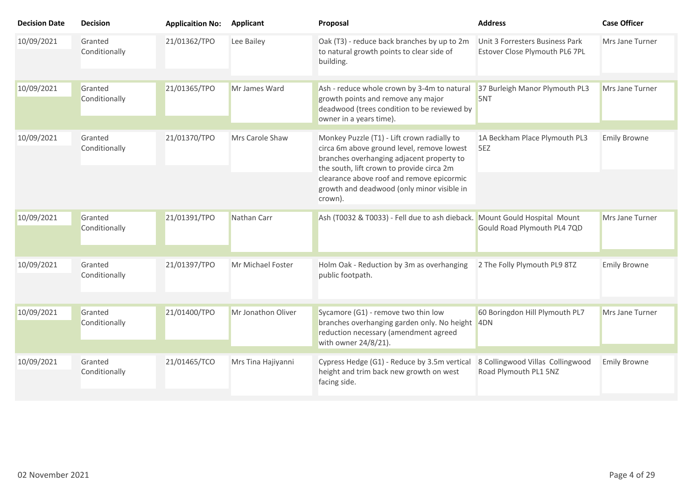| <b>Decision Date</b> | <b>Decision</b>          | <b>Applicaition No:</b> | <b>Applicant</b>   | Proposal                                                                                                                                                                                                                                                                       | <b>Address</b>                                                    | <b>Case Officer</b>    |
|----------------------|--------------------------|-------------------------|--------------------|--------------------------------------------------------------------------------------------------------------------------------------------------------------------------------------------------------------------------------------------------------------------------------|-------------------------------------------------------------------|------------------------|
| 10/09/2021           | Granted<br>Conditionally | 21/01362/TPO            | Lee Bailey         | Oak (T3) - reduce back branches by up to 2m<br>to natural growth points to clear side of<br>building.                                                                                                                                                                          | Unit 3 Forresters Business Park<br>Estover Close Plymouth PL6 7PL | Mrs Jane Turner        |
| 10/09/2021           | Granted<br>Conditionally | 21/01365/TPO            | Mr James Ward      | Ash - reduce whole crown by 3-4m to natural<br>growth points and remove any major<br>deadwood (trees condition to be reviewed by<br>owner in a years time).                                                                                                                    | 37 Burleigh Manor Plymouth PL3<br>5NT                             | Mrs Jane Turner        |
| 10/09/2021           | Granted<br>Conditionally | 21/01370/TPO            | Mrs Carole Shaw    | Monkey Puzzle (T1) - Lift crown radially to<br>circa 6m above ground level, remove lowest<br>branches overhanging adjacent property to<br>the south, lift crown to provide circa 2m<br>clearance above roof and remove epicormic<br>growth and deadwood (only minor visible in | 1A Beckham Place Plymouth PL3<br>5EZ                              | <b>Emily Browne</b>    |
|                      |                          |                         |                    | crown).                                                                                                                                                                                                                                                                        |                                                                   |                        |
| 10/09/2021           | Granted<br>Conditionally | 21/01391/TPO            | Nathan Carr        | Ash (T0032 & T0033) - Fell due to ash dieback. Mount Gould Hospital Mount                                                                                                                                                                                                      | Gould Road Plymouth PL4 7QD                                       | Mrs Jane Turner        |
| 10/09/2021           | Granted<br>Conditionally | 21/01397/TPO            | Mr Michael Foster  | Holm Oak - Reduction by 3m as overhanging<br>public footpath.                                                                                                                                                                                                                  | 2 The Folly Plymouth PL9 8TZ                                      | <b>Emily Browne</b>    |
| 10/09/2021           | Granted<br>Conditionally | 21/01400/TPO            | Mr Jonathon Oliver | Sycamore (G1) - remove two thin low<br>branches overhanging garden only. No height 4DN<br>reduction necessary (amendment agreed<br>with owner 24/8/21).                                                                                                                        | 60 Boringdon Hill Plymouth PL7                                    | <b>Mrs Jane Turner</b> |
| 10/09/2021           | Granted<br>Conditionally | 21/01465/TCO            | Mrs Tina Hajiyanni | Cypress Hedge (G1) - Reduce by 3.5m vertical<br>height and trim back new growth on west<br>facing side.                                                                                                                                                                        | 8 Collingwood Villas Collingwood<br>Road Plymouth PL1 5NZ         | <b>Emily Browne</b>    |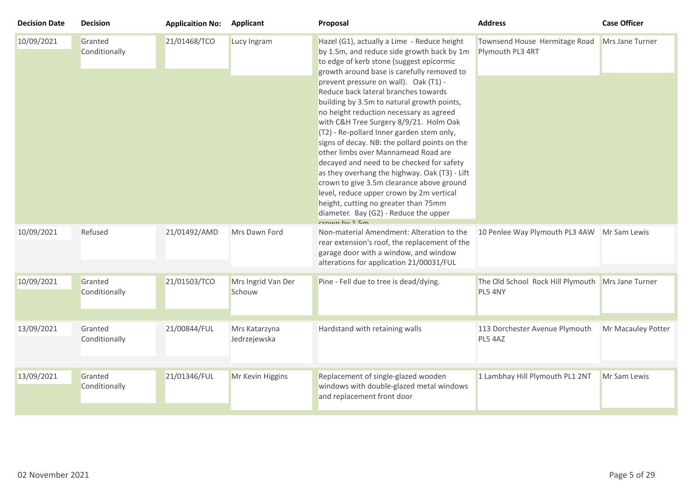| <b>Decision Date</b> | <b>Decision</b>          | <b>Applicaition No:</b> | <b>Applicant</b>              | Proposal                                                                                                                                                                                                                                                                                                                                                                                                                                                                                                                                                                                                                                                                                                                                                                                                                                   | <b>Address</b>                                    | <b>Case Officer</b> |
|----------------------|--------------------------|-------------------------|-------------------------------|--------------------------------------------------------------------------------------------------------------------------------------------------------------------------------------------------------------------------------------------------------------------------------------------------------------------------------------------------------------------------------------------------------------------------------------------------------------------------------------------------------------------------------------------------------------------------------------------------------------------------------------------------------------------------------------------------------------------------------------------------------------------------------------------------------------------------------------------|---------------------------------------------------|---------------------|
| 10/09/2021           | Granted<br>Conditionally | 21/01468/TCO            | Lucy Ingram                   | Hazel (G1), actually a Lime - Reduce height<br>by 1.5m, and reduce side growth back by 1m<br>to edge of kerb stone (suggest epicormic<br>growth around base is carefully removed to<br>prevent pressure on wall). Oak (T1) -<br>Reduce back lateral branches towards<br>building by 3.5m to natural growth points,<br>no height reduction necessary as agreed<br>with C&H Tree Surgery 8/9/21. Holm Oak<br>(T2) - Re-pollard Inner garden stem only,<br>signs of decay. NB: the pollard points on the<br>other limbs over Mannamead Road are<br>decayed and need to be checked for safety<br>as they overhang the highway. Oak (T3) - Lift<br>crown to give 3.5m clearance above ground<br>level, reduce upper crown by 2m vertical<br>height, cutting no greater than 75mm<br>diameter. Bay (G2) - Reduce the upper<br>$c$ rown by 1 $5m$ | Townsend House Hermitage Road<br>Plymouth PL3 4RT | Mrs Jane Turner     |
| 10/09/2021           | Refused                  | 21/01492/AMD            | Mrs Dawn Ford                 | Non-material Amendment: Alteration to the<br>rear extension's roof, the replacement of the<br>garage door with a window, and window<br>alterations for application 21/00031/FUL                                                                                                                                                                                                                                                                                                                                                                                                                                                                                                                                                                                                                                                            | 10 Penlee Way Plymouth PL3 4AW Mr Sam Lewis       |                     |
| 10/09/2021           | Granted<br>Conditionally | 21/01503/TCO            | Mrs Ingrid Van Der<br>Schouw  | Pine - Fell due to tree is dead/dying.                                                                                                                                                                                                                                                                                                                                                                                                                                                                                                                                                                                                                                                                                                                                                                                                     | The Old School Rock Hill Plymouth<br>PL5 4NY      | Mrs Jane Turner     |
| 13/09/2021           | Granted<br>Conditionally | 21/00844/FUL            | Mrs Katarzyna<br>Jedrzejewska | Hardstand with retaining walls                                                                                                                                                                                                                                                                                                                                                                                                                                                                                                                                                                                                                                                                                                                                                                                                             | 113 Dorchester Avenue Plymouth<br><b>PL5 4AZ</b>  | Mr Macauley Potter  |
| 13/09/2021           | Granted<br>Conditionally | 21/01346/FUL            | Mr Kevin Higgins              | Replacement of single-glazed wooden<br>windows with double-glazed metal windows<br>and replacement front door                                                                                                                                                                                                                                                                                                                                                                                                                                                                                                                                                                                                                                                                                                                              | 1 Lambhay Hill Plymouth PL1 2NT                   | Mr Sam Lewis        |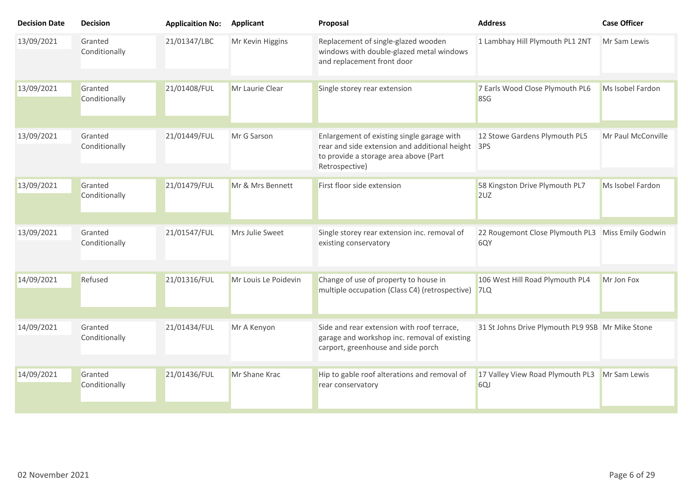| <b>Decision Date</b> | <b>Decision</b>          | <b>Applicaition No:</b> | <b>Applicant</b>     | Proposal                                                                                                                                                   | <b>Address</b>                                           | <b>Case Officer</b> |
|----------------------|--------------------------|-------------------------|----------------------|------------------------------------------------------------------------------------------------------------------------------------------------------------|----------------------------------------------------------|---------------------|
| 13/09/2021           | Granted<br>Conditionally | 21/01347/LBC            | Mr Kevin Higgins     | Replacement of single-glazed wooden<br>windows with double-glazed metal windows<br>and replacement front door                                              | 1 Lambhay Hill Plymouth PL1 2NT                          | Mr Sam Lewis        |
| 13/09/2021           | Granted<br>Conditionally | 21/01408/FUL            | Mr Laurie Clear      | Single storey rear extension                                                                                                                               | 7 Earls Wood Close Plymouth PL6<br>8SG                   | Ms Isobel Fardon    |
| 13/09/2021           | Granted<br>Conditionally | 21/01449/FUL            | Mr G Sarson          | Enlargement of existing single garage with<br>rear and side extension and additional height 3PS<br>to provide a storage area above (Part<br>Retrospective) | 12 Stowe Gardens Plymouth PL5                            | Mr Paul McConville  |
| 13/09/2021           | Granted<br>Conditionally | 21/01479/FUL            | Mr & Mrs Bennett     | First floor side extension                                                                                                                                 | 58 Kingston Drive Plymouth PL7<br>2UZ                    | Ms Isobel Fardon    |
| 13/09/2021           | Granted<br>Conditionally | 21/01547/FUL            | Mrs Julie Sweet      | Single storey rear extension inc. removal of<br>existing conservatory                                                                                      | 22 Rougemont Close Plymouth PL3 Miss Emily Godwin<br>6QY |                     |
| 14/09/2021           | Refused                  | 21/01316/FUL            | Mr Louis Le Poidevin | Change of use of property to house in<br>multiple occupation (Class C4) (retrospective)                                                                    | 106 West Hill Road Plymouth PL4<br>7LQ                   | Mr Jon Fox          |
| 14/09/2021           | Granted<br>Conditionally | 21/01434/FUL            | Mr A Kenyon          | Side and rear extension with roof terrace,<br>garage and workshop inc. removal of existing<br>carport, greenhouse and side porch                           | 31 St Johns Drive Plymouth PL9 9SB Mr Mike Stone         |                     |
| 14/09/2021           | Granted<br>Conditionally | 21/01436/FUL            | Mr Shane Krac        | Hip to gable roof alterations and removal of<br>rear conservatory                                                                                          | 17 Valley View Road Plymouth PL3<br>6QJ                  | Mr Sam Lewis        |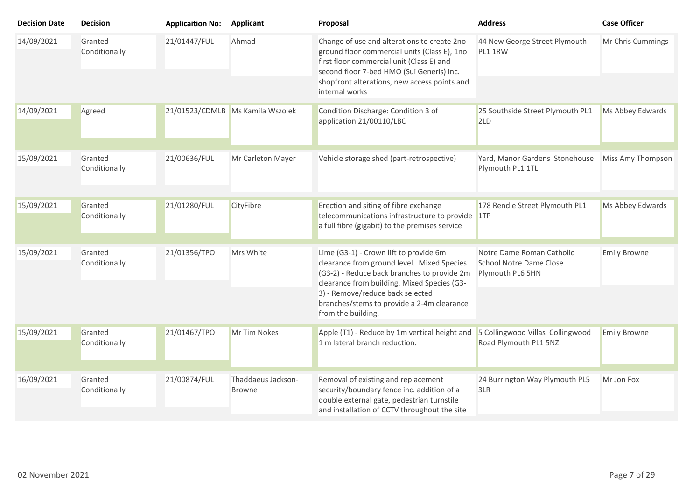| <b>Decision Date</b> | <b>Decision</b>          | <b>Applicaition No:</b> | <b>Applicant</b>                    | Proposal                                                                                                                                                                                                                                                                                   | <b>Address</b>                                                                  | <b>Case Officer</b> |
|----------------------|--------------------------|-------------------------|-------------------------------------|--------------------------------------------------------------------------------------------------------------------------------------------------------------------------------------------------------------------------------------------------------------------------------------------|---------------------------------------------------------------------------------|---------------------|
| 14/09/2021           | Granted<br>Conditionally | 21/01447/FUL            | Ahmad                               | Change of use and alterations to create 2no<br>ground floor commercial units (Class E), 1no<br>first floor commercial unit (Class E) and<br>second floor 7-bed HMO (Sui Generis) inc.<br>shopfront alterations, new access points and<br>internal works                                    | 44 New George Street Plymouth<br>PL1 1RW                                        | Mr Chris Cummings   |
| 14/09/2021           | Agreed                   |                         | 21/01523/CDMLB Ms Kamila Wszolek    | Condition Discharge: Condition 3 of<br>application 21/00110/LBC                                                                                                                                                                                                                            | 25 Southside Street Plymouth PL1<br>2LD                                         | Ms Abbey Edwards    |
| 15/09/2021           | Granted<br>Conditionally | 21/00636/FUL            | Mr Carleton Mayer                   | Vehicle storage shed (part-retrospective)                                                                                                                                                                                                                                                  | Yard, Manor Gardens Stonehouse<br>Plymouth PL1 1TL                              | Miss Amy Thompson   |
| 15/09/2021           | Granted<br>Conditionally | 21/01280/FUL            | CityFibre                           | Erection and siting of fibre exchange<br>telecommunications infrastructure to provide 1TP<br>a full fibre (gigabit) to the premises service                                                                                                                                                | 178 Rendle Street Plymouth PL1                                                  | Ms Abbey Edwards    |
| 15/09/2021           | Granted<br>Conditionally | 21/01356/TPO            | Mrs White                           | Lime (G3-1) - Crown lift to provide 6m<br>clearance from ground level. Mixed Species<br>(G3-2) - Reduce back branches to provide 2m<br>clearance from building. Mixed Species (G3-<br>3) - Remove/reduce back selected<br>branches/stems to provide a 2-4m clearance<br>from the building. | Notre Dame Roman Catholic<br><b>School Notre Dame Close</b><br>Plymouth PL6 5HN | <b>Emily Browne</b> |
| 15/09/2021           | Granted<br>Conditionally | 21/01467/TPO            | Mr Tim Nokes                        | Apple (T1) - Reduce by 1m vertical height and<br>1 m lateral branch reduction.                                                                                                                                                                                                             | 5 Collingwood Villas Collingwood<br>Road Plymouth PL1 5NZ                       | <b>Emily Browne</b> |
| 16/09/2021           | Granted<br>Conditionally | 21/00874/FUL            | Thaddaeus Jackson-<br><b>Browne</b> | Removal of existing and replacement<br>security/boundary fence inc. addition of a<br>double external gate, pedestrian turnstile<br>and installation of CCTV throughout the site                                                                                                            | 24 Burrington Way Plymouth PL5<br>3LR                                           | Mr Jon Fox          |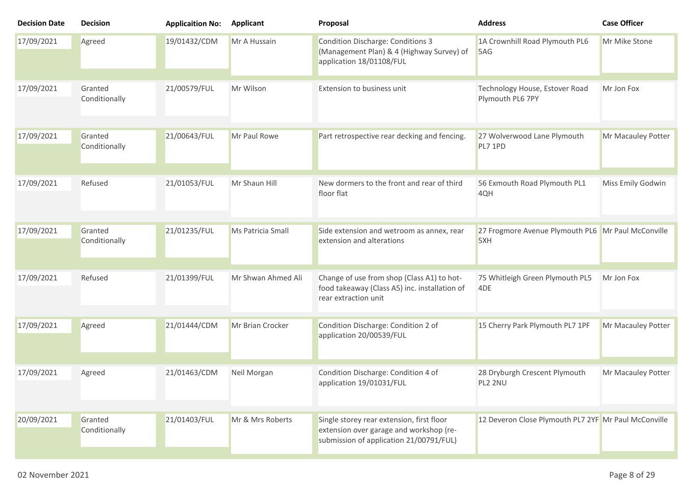| <b>Decision Date</b> | <b>Decision</b>          | <b>Applicaition No:</b> | <b>Applicant</b>   | Proposal                                                                                                                        | <b>Address</b>                                            | <b>Case Officer</b> |
|----------------------|--------------------------|-------------------------|--------------------|---------------------------------------------------------------------------------------------------------------------------------|-----------------------------------------------------------|---------------------|
| 17/09/2021           | Agreed                   | 19/01432/CDM            | Mr A Hussain       | <b>Condition Discharge: Conditions 3</b><br>(Management Plan) & 4 (Highway Survey) of<br>application 18/01108/FUL               | 1A Crownhill Road Plymouth PL6<br>5AG                     | Mr Mike Stone       |
| 17/09/2021           | Granted<br>Conditionally | 21/00579/FUL            | Mr Wilson          | Extension to business unit                                                                                                      | Technology House, Estover Road<br>Plymouth PL6 7PY        | Mr Jon Fox          |
| 17/09/2021           | Granted<br>Conditionally | 21/00643/FUL            | Mr Paul Rowe       | Part retrospective rear decking and fencing.                                                                                    | 27 Wolverwood Lane Plymouth<br>PL7 1PD                    | Mr Macauley Potter  |
| 17/09/2021           | Refused                  | 21/01053/FUL            | Mr Shaun Hill      | New dormers to the front and rear of third<br>floor flat                                                                        | 56 Exmouth Road Plymouth PL1<br>4QH                       | Miss Emily Godwin   |
| 17/09/2021           | Granted<br>Conditionally | 21/01235/FUL            | Ms Patricia Small  | Side extension and wetroom as annex, rear<br>extension and alterations                                                          | 27 Frogmore Avenue Plymouth PL6 Mr Paul McConville<br>5XH |                     |
| 17/09/2021           | Refused                  | 21/01399/FUL            | Mr Shwan Ahmed Ali | Change of use from shop (Class A1) to hot-<br>food takeaway (Class A5) inc. installation of<br>rear extraction unit             | 75 Whitleigh Green Plymouth PL5<br>4 <sub>DE</sub>        | Mr Jon Fox          |
| 17/09/2021           | Agreed                   | 21/01444/CDM            | Mr Brian Crocker   | Condition Discharge: Condition 2 of<br>application 20/00539/FUL                                                                 | 15 Cherry Park Plymouth PL7 1PF                           | Mr Macauley Potter  |
| 17/09/2021           | Agreed                   | 21/01463/CDM            | Neil Morgan        | Condition Discharge: Condition 4 of<br>application 19/01031/FUL                                                                 | 28 Dryburgh Crescent Plymouth<br>PL2 2NU                  | Mr Macauley Potter  |
| 20/09/2021           | Granted<br>Conditionally | 21/01403/FUL            | Mr & Mrs Roberts   | Single storey rear extension, first floor<br>extension over garage and workshop (re-<br>submission of application 21/00791/FUL) | 12 Deveron Close Plymouth PL7 2YF Mr Paul McConville      |                     |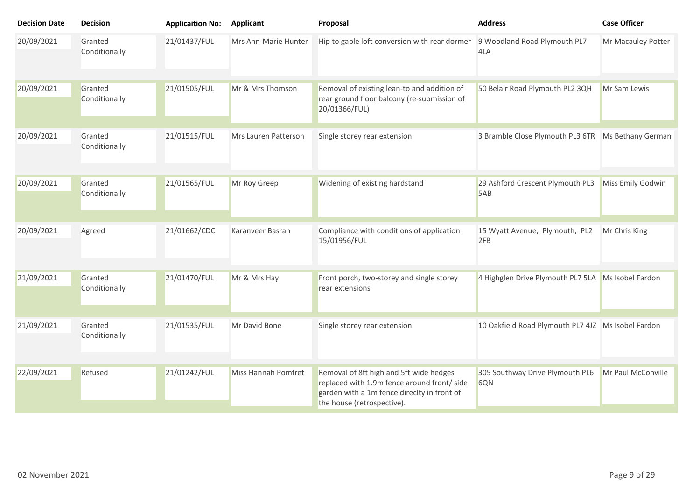| <b>Decision Date</b> | <b>Decision</b>          | <b>Applicaition No:</b> | <b>Applicant</b>           | Proposal                                                                                                                                                            | <b>Address</b>                                     | <b>Case Officer</b> |
|----------------------|--------------------------|-------------------------|----------------------------|---------------------------------------------------------------------------------------------------------------------------------------------------------------------|----------------------------------------------------|---------------------|
| 20/09/2021           | Granted<br>Conditionally | 21/01437/FUL            | Mrs Ann-Marie Hunter       | Hip to gable loft conversion with rear dormer                                                                                                                       | 9 Woodland Road Plymouth PL7<br>4LA                | Mr Macauley Potter  |
| 20/09/2021           | Granted<br>Conditionally | 21/01505/FUL            | Mr & Mrs Thomson           | Removal of existing lean-to and addition of<br>rear ground floor balcony (re-submission of<br>20/01366/FUL)                                                         | 50 Belair Road Plymouth PL2 3QH                    | Mr Sam Lewis        |
| 20/09/2021           | Granted<br>Conditionally | 21/01515/FUL            | Mrs Lauren Patterson       | Single storey rear extension                                                                                                                                        | 3 Bramble Close Plymouth PL3 6TR Ms Bethany German |                     |
| 20/09/2021           | Granted<br>Conditionally | 21/01565/FUL            | Mr Roy Greep               | Widening of existing hardstand                                                                                                                                      | 29 Ashford Crescent Plymouth PL3<br>5AB            | Miss Emily Godwin   |
| 20/09/2021           | Agreed                   | 21/01662/CDC            | Karanveer Basran           | Compliance with conditions of application<br>15/01956/FUL                                                                                                           | 15 Wyatt Avenue, Plymouth, PL2<br>2FB              | Mr Chris King       |
| 21/09/2021           | Granted<br>Conditionally | 21/01470/FUL            | Mr & Mrs Hay               | Front porch, two-storey and single storey<br>rear extensions                                                                                                        | 4 Highglen Drive Plymouth PL7 5LA                  | Ms Isobel Fardon    |
| 21/09/2021           | Granted<br>Conditionally | 21/01535/FUL            | Mr David Bone              | Single storey rear extension                                                                                                                                        | 10 Oakfield Road Plymouth PL7 4JZ Ms Isobel Fardon |                     |
| 22/09/2021           | Refused                  | 21/01242/FUL            | <b>Miss Hannah Pomfret</b> | Removal of 8ft high and 5ft wide hedges<br>replaced with 1.9m fence around front/ side<br>garden with a 1m fence direclty in front of<br>the house (retrospective). | 305 Southway Drive Plymouth PL6<br>6QN             | Mr Paul McConville  |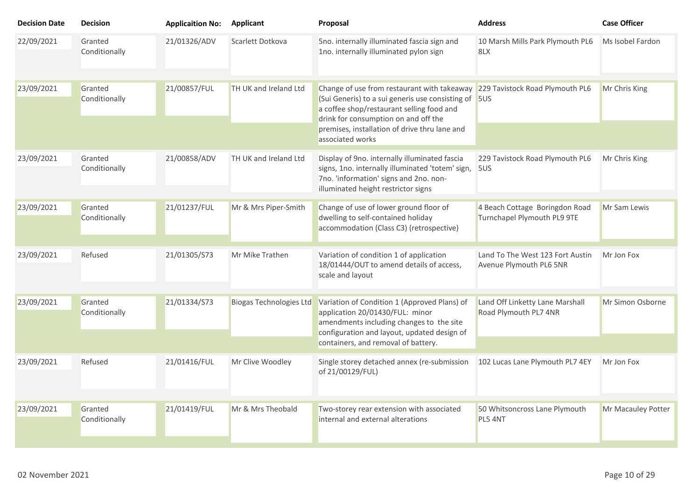| <b>Decision Date</b> | <b>Decision</b>          | <b>Applicaition No:</b> | <b>Applicant</b>               | Proposal                                                                                                                                                                                                                                                      | <b>Address</b>                                                | <b>Case Officer</b> |
|----------------------|--------------------------|-------------------------|--------------------------------|---------------------------------------------------------------------------------------------------------------------------------------------------------------------------------------------------------------------------------------------------------------|---------------------------------------------------------------|---------------------|
| 22/09/2021           | Granted<br>Conditionally | 21/01326/ADV            | Scarlett Dotkova               | 5no. internally illuminated fascia sign and<br>1no. internally illuminated pylon sign                                                                                                                                                                         | 10 Marsh Mills Park Plymouth PL6<br>8LX                       | Ms Isobel Fardon    |
| 23/09/2021           | Granted<br>Conditionally | 21/00857/FUL            | TH UK and Ireland Ltd          | Change of use from restaurant with takeaway<br>(Sui Generis) to a sui generis use consisting of 5US<br>a coffee shop/restaurant selling food and<br>drink for consumption on and off the<br>premises, installation of drive thru lane and<br>associated works | 229 Tavistock Road Plymouth PL6                               | Mr Chris King       |
| 23/09/2021           | Granted<br>Conditionally | 21/00858/ADV            | TH UK and Ireland Ltd          | Display of 9no. internally illuminated fascia<br>signs, 1no. internally illuminated 'totem' sign, 5US<br>7no. 'information' signs and 2no. non-<br>illuminated height restrictor signs                                                                        | 229 Tavistock Road Plymouth PL6                               | Mr Chris King       |
| 23/09/2021           | Granted<br>Conditionally | 21/01237/FUL            | Mr & Mrs Piper-Smith           | Change of use of lower ground floor of<br>dwelling to self-contained holiday<br>accommodation (Class C3) (retrospective)                                                                                                                                      | 4 Beach Cottage Boringdon Road<br>Turnchapel Plymouth PL9 9TE | Mr Sam Lewis        |
| 23/09/2021           | Refused                  | 21/01305/S73            | Mr Mike Trathen                | Variation of condition 1 of application<br>18/01444/OUT to amend details of access,<br>scale and layout                                                                                                                                                       | Land To The West 123 Fort Austin<br>Avenue Plymouth PL6 5NR   | Mr Jon Fox          |
| 23/09/2021           | Granted<br>Conditionally | 21/01334/S73            | <b>Biogas Technologies Ltd</b> | Variation of Condition 1 (Approved Plans) of<br>application 20/01430/FUL: minor<br>amendments including changes to the site<br>configuration and layout, updated design of                                                                                    | Land Off Linketty Lane Marshall<br>Road Plymouth PL7 4NR      | Mr Simon Osborne    |
|                      |                          |                         |                                | containers, and removal of battery.                                                                                                                                                                                                                           |                                                               |                     |
| 23/09/2021           | Refused                  | 21/01416/FUL            | Mr Clive Woodley               | Single storey detached annex (re-submission<br>of 21/00129/FUL)                                                                                                                                                                                               | 102 Lucas Lane Plymouth PL7 4EY                               | Mr Jon Fox          |
| 23/09/2021           | Granted<br>Conditionally | 21/01419/FUL            | Mr & Mrs Theobald              | Two-storey rear extension with associated<br>internal and external alterations                                                                                                                                                                                | 50 Whitsoncross Lane Plymouth<br>PL5 4NT                      | Mr Macauley Potter  |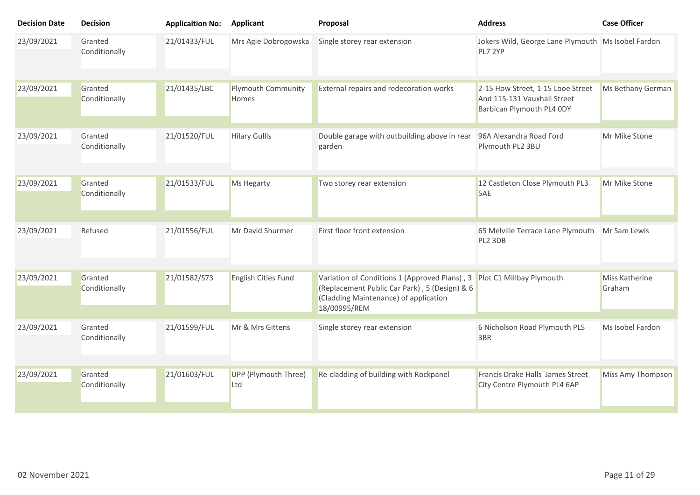| <b>Decision Date</b> | <b>Decision</b>          | <b>Applicaition No:</b> | <b>Applicant</b>            | Proposal                                                                                                                                                | <b>Address</b>                                                                                | <b>Case Officer</b>      |
|----------------------|--------------------------|-------------------------|-----------------------------|---------------------------------------------------------------------------------------------------------------------------------------------------------|-----------------------------------------------------------------------------------------------|--------------------------|
| 23/09/2021           | Granted<br>Conditionally | 21/01433/FUL            | Mrs Agie Dobrogowska        | Single storey rear extension                                                                                                                            | Jokers Wild, George Lane Plymouth Ms Isobel Fardon<br>PL7 2YP                                 |                          |
| 23/09/2021           | Granted<br>Conditionally | 21/01435/LBC            | Plymouth Community<br>Homes | External repairs and redecoration works                                                                                                                 | 2-15 How Street, 1-15 Looe Street<br>And 115-131 Vauxhall Street<br>Barbican Plymouth PL4 0DY | Ms Bethany German        |
| 23/09/2021           | Granted<br>Conditionally | 21/01520/FUL            | <b>Hilary Gullis</b>        | Double garage with outbuilding above in rear<br>garden                                                                                                  | 96A Alexandra Road Ford<br>Plymouth PL2 3BU                                                   | Mr Mike Stone            |
| 23/09/2021           | Granted<br>Conditionally | 21/01533/FUL            | Ms Hegarty                  | Two storey rear extension                                                                                                                               | 12 Castleton Close Plymouth PL3<br>5AE                                                        | Mr Mike Stone            |
| 23/09/2021           | Refused                  | 21/01556/FUL            | Mr David Shurmer            | First floor front extension                                                                                                                             | 65 Melville Terrace Lane Plymouth<br>PL2 3DB                                                  | Mr Sam Lewis             |
| 23/09/2021           | Granted<br>Conditionally | 21/01582/S73            | English Cities Fund         | Variation of Conditions 1 (Approved Plans), 3<br>(Replacement Public Car Park), 5 (Design) & 6<br>(Cladding Maintenance) of application<br>18/00995/REM | Plot C1 Millbay Plymouth                                                                      | Miss Katherine<br>Graham |
| 23/09/2021           | Granted<br>Conditionally | 21/01599/FUL            | Mr & Mrs Gittens            | Single storey rear extension                                                                                                                            | 6 Nicholson Road Plymouth PL5<br>3BR                                                          | Ms Isobel Fardon         |
| 23/09/2021           | Granted<br>Conditionally | 21/01603/FUL            | UPP (Plymouth Three)<br>Ltd | Re-cladding of building with Rockpanel                                                                                                                  | Francis Drake Halls James Street<br>City Centre Plymouth PL4 6AP                              | Miss Amy Thompson        |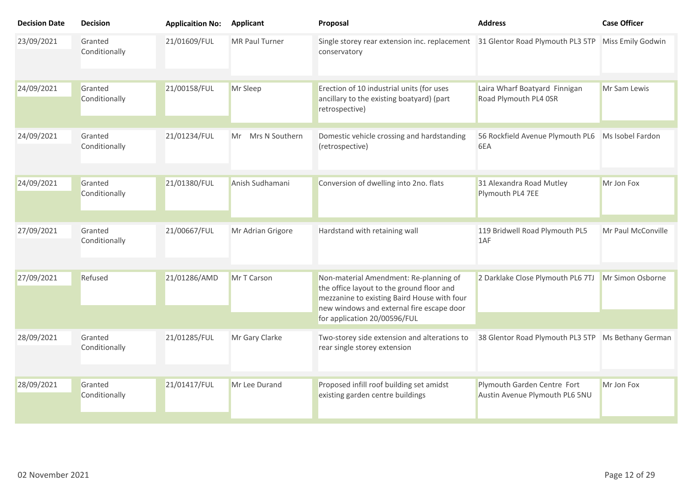| <b>Decision Date</b> | <b>Decision</b>          | <b>Applicaition No:</b> | <b>Applicant</b>      | Proposal                                                                                                                                                                                                        | <b>Address</b>                                                | <b>Case Officer</b> |
|----------------------|--------------------------|-------------------------|-----------------------|-----------------------------------------------------------------------------------------------------------------------------------------------------------------------------------------------------------------|---------------------------------------------------------------|---------------------|
| 23/09/2021           | Granted<br>Conditionally | 21/01609/FUL            | <b>MR Paul Turner</b> | Single storey rear extension inc. replacement 31 Glentor Road Plymouth PL3 5TP Miss Emily Godwin<br>conservatory                                                                                                |                                                               |                     |
| 24/09/2021           | Granted<br>Conditionally | 21/00158/FUL            | Mr Sleep              | Erection of 10 industrial units (for uses<br>ancillary to the existing boatyard) (part<br>retrospective)                                                                                                        | Laira Wharf Boatyard Finnigan<br>Road Plymouth PL4 OSR        | Mr Sam Lewis        |
| 24/09/2021           | Granted<br>Conditionally | 21/01234/FUL            | Mr Mrs N Southern     | Domestic vehicle crossing and hardstanding<br>(retrospective)                                                                                                                                                   | 56 Rockfield Avenue Plymouth PL6<br>6EA                       | Ms Isobel Fardon    |
| 24/09/2021           | Granted<br>Conditionally | 21/01380/FUL            | Anish Sudhamani       | Conversion of dwelling into 2no. flats                                                                                                                                                                          | 31 Alexandra Road Mutley<br>Plymouth PL4 7EE                  | Mr Jon Fox          |
| 27/09/2021           | Granted<br>Conditionally | 21/00667/FUL            | Mr Adrian Grigore     | Hardstand with retaining wall                                                                                                                                                                                   | 119 Bridwell Road Plymouth PL5<br>1AF                         | Mr Paul McConville  |
| 27/09/2021           | Refused                  | 21/01286/AMD            | Mr T Carson           | Non-material Amendment: Re-planning of<br>the office layout to the ground floor and<br>mezzanine to existing Baird House with four<br>new windows and external fire escape door<br>for application 20/00596/FUL | 2 Darklake Close Plymouth PL6 7TJ                             | Mr Simon Osborne    |
| 28/09/2021           | Granted<br>Conditionally | 21/01285/FUL            | Mr Gary Clarke        | Two-storey side extension and alterations to<br>rear single storey extension                                                                                                                                    | 38 Glentor Road Plymouth PL3 5TP Ms Bethany German            |                     |
| 28/09/2021           | Granted<br>Conditionally | 21/01417/FUL            | Mr Lee Durand         | Proposed infill roof building set amidst<br>existing garden centre buildings                                                                                                                                    | Plymouth Garden Centre Fort<br>Austin Avenue Plymouth PL6 5NU | Mr Jon Fox          |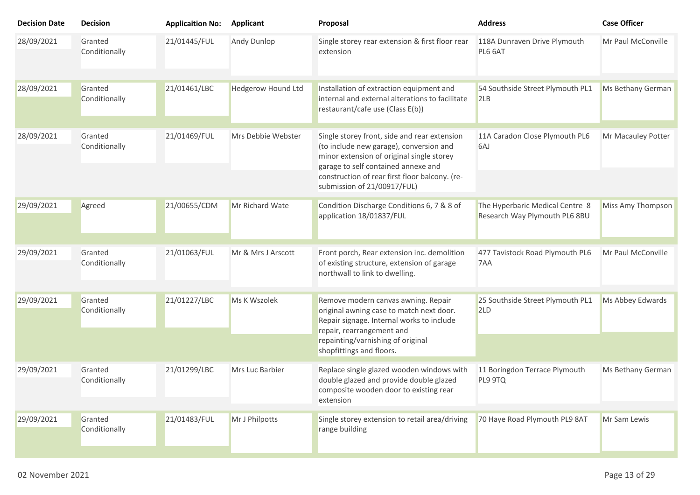| <b>Decision Date</b> | <b>Decision</b>          | <b>Applicaition No:</b> | <b>Applicant</b>   | Proposal                                                                                                                                                                                                                      | <b>Address</b>                                                   | <b>Case Officer</b> |
|----------------------|--------------------------|-------------------------|--------------------|-------------------------------------------------------------------------------------------------------------------------------------------------------------------------------------------------------------------------------|------------------------------------------------------------------|---------------------|
| 28/09/2021           | Granted<br>Conditionally | 21/01445/FUL            | Andy Dunlop        | Single storey rear extension & first floor rear<br>extension                                                                                                                                                                  | 118A Dunraven Drive Plymouth<br>PL6 6AT                          | Mr Paul McConville  |
| 28/09/2021           | Granted<br>Conditionally | 21/01461/LBC            | Hedgerow Hound Ltd | Installation of extraction equipment and<br>internal and external alterations to facilitate<br>restaurant/cafe use (Class E(b))                                                                                               | 54 Southside Street Plymouth PL1<br>2LB                          | Ms Bethany German   |
| 28/09/2021           | Granted<br>Conditionally | 21/01469/FUL            | Mrs Debbie Webster | Single storey front, side and rear extension<br>(to include new garage), conversion and<br>minor extension of original single storey<br>garage to self contained annexe and<br>construction of rear first floor balcony. (re- | 11A Caradon Close Plymouth PL6<br>6AJ                            | Mr Macauley Potter  |
|                      |                          |                         |                    | submission of 21/00917/FUL)                                                                                                                                                                                                   |                                                                  |                     |
| 29/09/2021           | Agreed                   | 21/00655/CDM            | Mr Richard Wate    | Condition Discharge Conditions 6, 7 & 8 of<br>application 18/01837/FUL                                                                                                                                                        | The Hyperbaric Medical Centre 8<br>Research Way Plymouth PL6 8BU | Miss Amy Thompson   |
|                      |                          |                         |                    |                                                                                                                                                                                                                               |                                                                  |                     |
| 29/09/2021           | Granted<br>Conditionally | 21/01063/FUL            | Mr & Mrs J Arscott | Front porch, Rear extension inc. demolition<br>of existing structure, extension of garage<br>northwall to link to dwelling.                                                                                                   | 477 Tavistock Road Plymouth PL6<br>7AA                           | Mr Paul McConville  |
| 29/09/2021           | Granted<br>Conditionally | 21/01227/LBC            | Ms K Wszolek       | Remove modern canvas awning. Repair<br>original awning case to match next door.<br>Repair signage. Internal works to include<br>repair, rearrangement and                                                                     | 25 Southside Street Plymouth PL1<br>2LD                          | Ms Abbey Edwards    |
|                      |                          |                         |                    | repainting/varnishing of original<br>shopfittings and floors.                                                                                                                                                                 |                                                                  |                     |
| 29/09/2021           | Granted<br>Conditionally | 21/01299/LBC            | Mrs Luc Barbier    | Replace single glazed wooden windows with<br>double glazed and provide double glazed<br>composite wooden door to existing rear<br>extension                                                                                   | 11 Boringdon Terrace Plymouth<br>PL9 9TQ                         | Ms Bethany German   |
|                      |                          |                         |                    |                                                                                                                                                                                                                               |                                                                  |                     |
| 29/09/2021           | Granted<br>Conditionally | 21/01483/FUL            | Mr J Philpotts     | Single storey extension to retail area/driving<br>range building                                                                                                                                                              | 70 Haye Road Plymouth PL9 8AT                                    | Mr Sam Lewis        |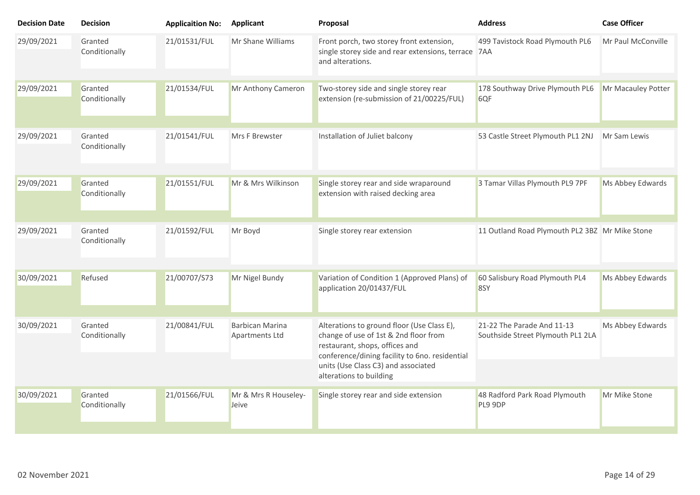| <b>Decision Date</b> | <b>Decision</b>          | <b>Applicaition No:</b> | <b>Applicant</b>                         | Proposal                                                                                                                                                                | <b>Address</b>                                                  | <b>Case Officer</b> |
|----------------------|--------------------------|-------------------------|------------------------------------------|-------------------------------------------------------------------------------------------------------------------------------------------------------------------------|-----------------------------------------------------------------|---------------------|
| 29/09/2021           | Granted<br>Conditionally | 21/01531/FUL            | Mr Shane Williams                        | Front porch, two storey front extension,<br>single storey side and rear extensions, terrace 7AA<br>and alterations.                                                     | 499 Tavistock Road Plymouth PL6                                 | Mr Paul McConville  |
| 29/09/2021           | Granted<br>Conditionally | 21/01534/FUL            | Mr Anthony Cameron                       | Two-storey side and single storey rear<br>extension (re-submission of 21/00225/FUL)                                                                                     | 178 Southway Drive Plymouth PL6<br>6QF                          | Mr Macauley Potter  |
| 29/09/2021           | Granted<br>Conditionally | 21/01541/FUL            | <b>Mrs F Brewster</b>                    | Installation of Juliet balcony                                                                                                                                          | 53 Castle Street Plymouth PL1 2NJ                               | Mr Sam Lewis        |
| 29/09/2021           | Granted<br>Conditionally | 21/01551/FUL            | Mr & Mrs Wilkinson                       | Single storey rear and side wraparound<br>extension with raised decking area                                                                                            | 3 Tamar Villas Plymouth PL9 7PF                                 | Ms Abbey Edwards    |
| 29/09/2021           | Granted<br>Conditionally | 21/01592/FUL            | Mr Boyd                                  | Single storey rear extension                                                                                                                                            | 11 Outland Road Plymouth PL2 3BZ Mr Mike Stone                  |                     |
| 30/09/2021           | Refused                  | 21/00707/S73            | Mr Nigel Bundy                           | Variation of Condition 1 (Approved Plans) of<br>application 20/01437/FUL                                                                                                | 60 Salisbury Road Plymouth PL4<br>8SY                           | Ms Abbey Edwards    |
| 30/09/2021           | Granted<br>Conditionally | 21/00841/FUL            | Barbican Marina<br><b>Apartments Ltd</b> | Alterations to ground floor (Use Class E),<br>change of use of 1st & 2nd floor from<br>restaurant, shops, offices and<br>conference/dining facility to 6no. residential | 21-22 The Parade And 11-13<br>Southside Street Plymouth PL1 2LA | Ms Abbey Edwards    |
|                      |                          |                         |                                          | units (Use Class C3) and associated<br>alterations to building                                                                                                          |                                                                 |                     |
| 30/09/2021           | Granted<br>Conditionally | 21/01566/FUL            | Mr & Mrs R Houseley-<br>Jeive            | Single storey rear and side extension                                                                                                                                   | 48 Radford Park Road Plymouth<br>PL9 9DP                        | Mr Mike Stone       |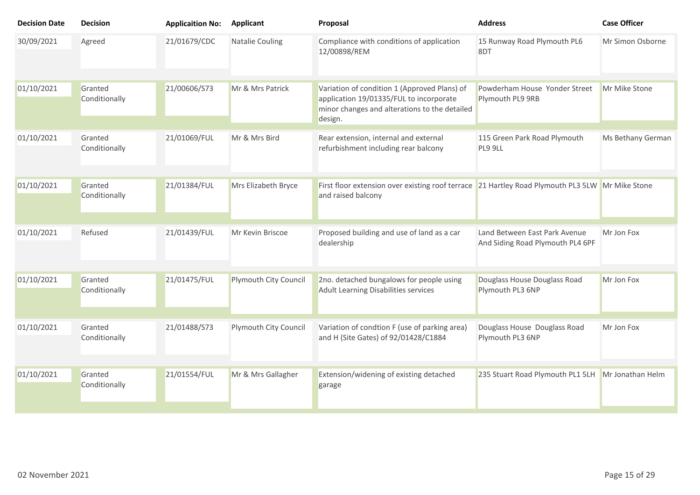| <b>Decision Date</b> | <b>Decision</b>          | <b>Applicaition No:</b> | Applicant             | Proposal                                                                                                                                            | <b>Address</b>                                                    | <b>Case Officer</b> |
|----------------------|--------------------------|-------------------------|-----------------------|-----------------------------------------------------------------------------------------------------------------------------------------------------|-------------------------------------------------------------------|---------------------|
| 30/09/2021           | Agreed                   | 21/01679/CDC            | Natalie Couling       | Compliance with conditions of application<br>12/00898/REM                                                                                           | 15 Runway Road Plymouth PL6<br>8DT                                | Mr Simon Osborne    |
| 01/10/2021           | Granted<br>Conditionally | 21/00606/S73            | Mr & Mrs Patrick      | Variation of condition 1 (Approved Plans) of<br>application 19/01335/FUL to incorporate<br>minor changes and alterations to the detailed<br>design. | Powderham House Yonder Street<br>Plymouth PL9 9RB                 | Mr Mike Stone       |
| 01/10/2021           | Granted<br>Conditionally | 21/01069/FUL            | Mr & Mrs Bird         | Rear extension, internal and external<br>refurbishment including rear balcony                                                                       | 115 Green Park Road Plymouth<br>PL9 9LL                           | Ms Bethany German   |
| 01/10/2021           | Granted<br>Conditionally | 21/01384/FUL            | Mrs Elizabeth Bryce   | First floor extension over existing roof terrace 21 Hartley Road Plymouth PL3 5LW Mr Mike Stone<br>and raised balcony                               |                                                                   |                     |
| 01/10/2021           | Refused                  | 21/01439/FUL            | Mr Kevin Briscoe      | Proposed building and use of land as a car<br>dealership                                                                                            | Land Between East Park Avenue<br>And Siding Road Plymouth PL4 6PF | Mr Jon Fox          |
| 01/10/2021           | Granted<br>Conditionally | 21/01475/FUL            | Plymouth City Council | 2no. detached bungalows for people using<br>Adult Learning Disabilities services                                                                    | Douglass House Douglass Road<br>Plymouth PL3 6NP                  | Mr Jon Fox          |
| 01/10/2021           | Granted<br>Conditionally | 21/01488/S73            | Plymouth City Council | Variation of condtion F (use of parking area)<br>and H (Site Gates) of 92/01428/C1884                                                               | Douglass House Douglass Road<br>Plymouth PL3 6NP                  | Mr Jon Fox          |
| 01/10/2021           | Granted<br>Conditionally | 21/01554/FUL            | Mr & Mrs Gallagher    | Extension/widening of existing detached<br>garage                                                                                                   | 235 Stuart Road Plymouth PL1 5LH                                  | Mr Jonathan Helm    |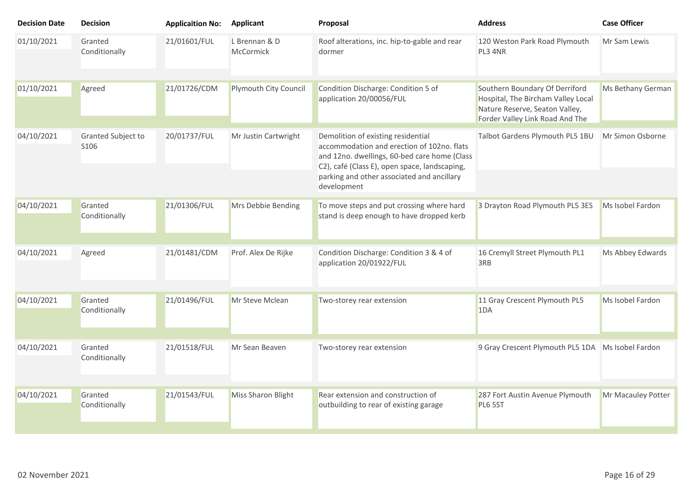| <b>Decision Date</b> | <b>Decision</b>                        | <b>Applicaition No:</b> | Applicant                  | Proposal                                                                                                                                                                          | <b>Address</b>                                                                                                                            | <b>Case Officer</b> |
|----------------------|----------------------------------------|-------------------------|----------------------------|-----------------------------------------------------------------------------------------------------------------------------------------------------------------------------------|-------------------------------------------------------------------------------------------------------------------------------------------|---------------------|
| 01/10/2021           | Granted<br>Conditionally               | 21/01601/FUL            | L Brennan & D<br>McCormick | Roof alterations, inc. hip-to-gable and rear<br>dormer                                                                                                                            | 120 Weston Park Road Plymouth<br>PL3 4NR                                                                                                  | Mr Sam Lewis        |
| 01/10/2021           | Agreed                                 | 21/01726/CDM            | Plymouth City Council      | Condition Discharge: Condition 5 of<br>application 20/00056/FUL                                                                                                                   | Southern Boundary Of Derriford<br>Hospital, The Bircham Valley Local<br>Nature Reserve, Seaton Valley,<br>Forder Valley Link Road And The | Ms Bethany German   |
| 04/10/2021           | Granted Subject to<br>S <sub>106</sub> | 20/01737/FUL            | Mr Justin Cartwright       | Demolition of existing residential<br>accommodation and erection of 102no. flats<br>and 12no. dwellings, 60-bed care home (Class<br>C2), café (Class E), open space, landscaping, | Talbot Gardens Plymouth PL5 1BU                                                                                                           | Mr Simon Osborne    |
|                      |                                        |                         |                            | parking and other associated and ancillary<br>development                                                                                                                         |                                                                                                                                           |                     |
| 04/10/2021           | Granted<br>Conditionally               | 21/01306/FUL            | Mrs Debbie Bending         | To move steps and put crossing where hard<br>stand is deep enough to have dropped kerb                                                                                            | 3 Drayton Road Plymouth PL5 3ES                                                                                                           | Ms Isobel Fardon    |
| 04/10/2021           | Agreed                                 | 21/01481/CDM            | Prof. Alex De Rijke        | Condition Discharge: Condition 3 & 4 of<br>application 20/01922/FUL                                                                                                               | 16 Cremyll Street Plymouth PL1<br>3RB                                                                                                     | Ms Abbey Edwards    |
| 04/10/2021           | Granted<br>Conditionally               | 21/01496/FUL            | Mr Steve Mclean            | Two-storey rear extension                                                                                                                                                         | 11 Gray Crescent Plymouth PL5<br>1DA                                                                                                      | Ms Isobel Fardon    |
| 04/10/2021           | Granted<br>Conditionally               | 21/01518/FUL            | Mr Sean Beaven             | Two-storey rear extension                                                                                                                                                         | 9 Gray Crescent Plymouth PL5 1DA Ms Isobel Fardon                                                                                         |                     |
| 04/10/2021           | Granted<br>Conditionally               | 21/01543/FUL            | Miss Sharon Blight         | Rear extension and construction of<br>outbuilding to rear of existing garage                                                                                                      | 287 Fort Austin Avenue Plymouth<br>PL6 5ST                                                                                                | Mr Macauley Potter  |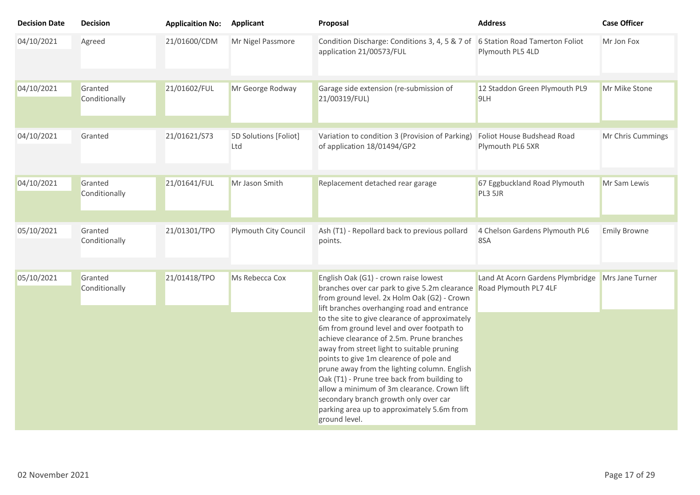| <b>Decision Date</b> | <b>Decision</b>          | <b>Applicaition No:</b> | <b>Applicant</b>             | Proposal                                                                                                                                                                                                                                                                                                                                                                                                                                                                                                                                                                                                                                                                                              | <b>Address</b>                                     | <b>Case Officer</b> |
|----------------------|--------------------------|-------------------------|------------------------------|-------------------------------------------------------------------------------------------------------------------------------------------------------------------------------------------------------------------------------------------------------------------------------------------------------------------------------------------------------------------------------------------------------------------------------------------------------------------------------------------------------------------------------------------------------------------------------------------------------------------------------------------------------------------------------------------------------|----------------------------------------------------|---------------------|
| 04/10/2021           | Agreed                   | 21/01600/CDM            | Mr Nigel Passmore            | Condition Discharge: Conditions 3, 4, 5 & 7 of<br>application 21/00573/FUL                                                                                                                                                                                                                                                                                                                                                                                                                                                                                                                                                                                                                            | 6 Station Road Tamerton Foliot<br>Plymouth PL5 4LD | Mr Jon Fox          |
| 04/10/2021           | Granted<br>Conditionally | 21/01602/FUL            | Mr George Rodway             | Garage side extension (re-submission of<br>21/00319/FUL)                                                                                                                                                                                                                                                                                                                                                                                                                                                                                                                                                                                                                                              | 12 Staddon Green Plymouth PL9<br>9LH               | Mr Mike Stone       |
| 04/10/2021           | Granted                  | 21/01621/S73            | 5D Solutions [Foliot]<br>Ltd | Variation to condition 3 (Provision of Parking)<br>of application 18/01494/GP2                                                                                                                                                                                                                                                                                                                                                                                                                                                                                                                                                                                                                        | Foliot House Budshead Road<br>Plymouth PL6 5XR     | Mr Chris Cummings   |
| 04/10/2021           | Granted<br>Conditionally | 21/01641/FUL            | Mr Jason Smith               | Replacement detached rear garage                                                                                                                                                                                                                                                                                                                                                                                                                                                                                                                                                                                                                                                                      | 67 Eggbuckland Road Plymouth<br>PL3 5JR            | Mr Sam Lewis        |
| 05/10/2021           | Granted<br>Conditionally | 21/01301/TPO            | Plymouth City Council        | Ash (T1) - Repollard back to previous pollard<br>points.                                                                                                                                                                                                                                                                                                                                                                                                                                                                                                                                                                                                                                              | 4 Chelson Gardens Plymouth PL6<br>8SA              | <b>Emily Browne</b> |
| 05/10/2021           | Granted<br>Conditionally | 21/01418/TPO            | Ms Rebecca Cox               | English Oak (G1) - crown raise lowest<br>branches over car park to give 5.2m clearance Road Plymouth PL7 4LF<br>from ground level. 2x Holm Oak (G2) - Crown<br>lift branches overhanging road and entrance<br>to the site to give clearance of approximately<br>6m from ground level and over footpath to<br>achieve clearance of 2.5m. Prune branches<br>away from street light to suitable pruning<br>points to give 1m clearence of pole and<br>prune away from the lighting column. English<br>Oak (T1) - Prune tree back from building to<br>allow a minimum of 3m clearance. Crown lift<br>secondary branch growth only over car<br>parking area up to approximately 5.6m from<br>ground level. | Land At Acorn Gardens Plymbridge                   | Mrs Jane Turner     |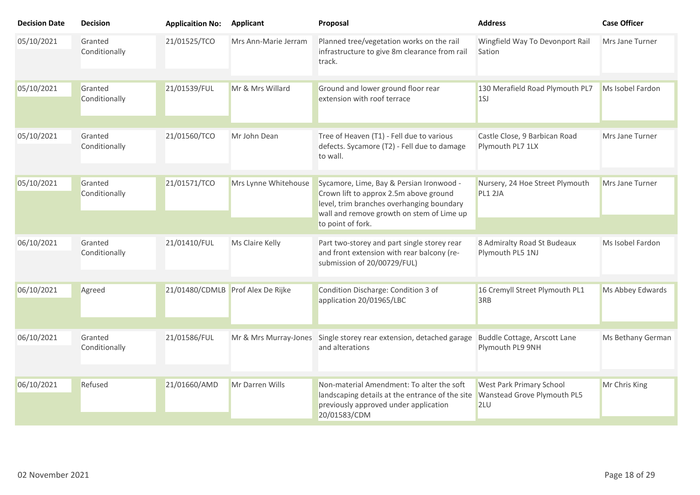| <b>Decision Date</b> | <b>Decision</b>          | <b>Applicaition No:</b>           | <b>Applicant</b>     | Proposal                                                                                                                                                                     | <b>Address</b>                                                 | <b>Case Officer</b> |
|----------------------|--------------------------|-----------------------------------|----------------------|------------------------------------------------------------------------------------------------------------------------------------------------------------------------------|----------------------------------------------------------------|---------------------|
| 05/10/2021           | Granted<br>Conditionally | 21/01525/TCO                      | Mrs Ann-Marie Jerram | Planned tree/vegetation works on the rail<br>infrastructure to give 8m clearance from rail<br>track.                                                                         | Wingfield Way To Devonport Rail<br>Sation                      | Mrs Jane Turner     |
| 05/10/2021           | Granted<br>Conditionally | 21/01539/FUL                      | Mr & Mrs Willard     | Ground and lower ground floor rear<br>extension with roof terrace                                                                                                            | 130 Merafield Road Plymouth PL7<br>1SJ                         | Ms Isobel Fardon    |
| 05/10/2021           | Granted<br>Conditionally | 21/01560/TCO                      | Mr John Dean         | Tree of Heaven (T1) - Fell due to various<br>defects. Sycamore (T2) - Fell due to damage<br>to wall.                                                                         | Castle Close, 9 Barbican Road<br>Plymouth PL7 1LX              | Mrs Jane Turner     |
| 05/10/2021           | Granted<br>Conditionally | 21/01571/TCO                      | Mrs Lynne Whitehouse | Sycamore, Lime, Bay & Persian Ironwood -<br>Crown lift to approx 2.5m above ground<br>level, trim branches overhanging boundary<br>wall and remove growth on stem of Lime up | Nursery, 24 Hoe Street Plymouth<br>PL1 2JA                     | Mrs Jane Turner     |
|                      |                          |                                   |                      | to point of fork.                                                                                                                                                            |                                                                |                     |
| 06/10/2021           | Granted<br>Conditionally | 21/01410/FUL                      | Ms Claire Kelly      | Part two-storey and part single storey rear<br>and front extension with rear balcony (re-<br>submission of 20/00729/FUL)                                                     | 8 Admiralty Road St Budeaux<br>Plymouth PL5 1NJ                | Ms Isobel Fardon    |
| 06/10/2021           | Agreed                   | 21/01480/CDMLB Prof Alex De Rijke |                      | Condition Discharge: Condition 3 of<br>application 20/01965/LBC                                                                                                              | 16 Cremyll Street Plymouth PL1<br>3RB                          | Ms Abbey Edwards    |
| 06/10/2021           | Granted<br>Conditionally | 21/01586/FUL                      |                      | Mr & Mrs Murray-Jones Single storey rear extension, detached garage<br>and alterations                                                                                       | Buddle Cottage, Arscott Lane<br>Plymouth PL9 9NH               | Ms Bethany German   |
| 06/10/2021           | Refused                  | 21/01660/AMD                      | Mr Darren Wills      | Non-material Amendment: To alter the soft<br>landscaping details at the entrance of the site<br>previously approved under application<br>20/01583/CDM                        | West Park Primary School<br>Wanstead Grove Plymouth PL5<br>2LU | Mr Chris King       |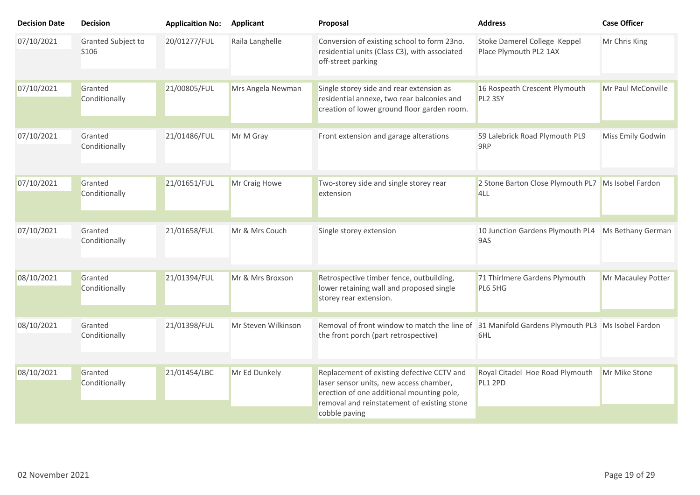| <b>Decision Date</b> | <b>Decision</b>                        | <b>Applicaition No:</b> | <b>Applicant</b>    | Proposal                                                                                                                                                                                           | <b>Address</b>                                            | <b>Case Officer</b> |
|----------------------|----------------------------------------|-------------------------|---------------------|----------------------------------------------------------------------------------------------------------------------------------------------------------------------------------------------------|-----------------------------------------------------------|---------------------|
| 07/10/2021           | Granted Subject to<br>S <sub>106</sub> | 20/01277/FUL            | Raila Langhelle     | Conversion of existing school to form 23no.<br>residential units (Class C3), with associated<br>off-street parking                                                                                 | Stoke Damerel College Keppel<br>Place Plymouth PL2 1AX    | Mr Chris King       |
| 07/10/2021           | Granted<br>Conditionally               | 21/00805/FUL            | Mrs Angela Newman   | Single storey side and rear extension as<br>residential annexe, two rear balconies and<br>creation of lower ground floor garden room.                                                              | 16 Rospeath Crescent Plymouth<br>PL2 3SY                  | Mr Paul McConville  |
| 07/10/2021           | Granted<br>Conditionally               | 21/01486/FUL            | Mr M Gray           | Front extension and garage alterations                                                                                                                                                             | 59 Lalebrick Road Plymouth PL9<br>9RP                     | Miss Emily Godwin   |
| 07/10/2021           | Granted<br>Conditionally               | 21/01651/FUL            | Mr Craig Howe       | Two-storey side and single storey rear<br>extension                                                                                                                                                | 2 Stone Barton Close Plymouth PL7 Ms Isobel Fardon<br>4LL |                     |
| 07/10/2021           | Granted<br>Conditionally               | 21/01658/FUL            | Mr & Mrs Couch      | Single storey extension                                                                                                                                                                            | 10 Junction Gardens Plymouth PL4<br>9AS                   | Ms Bethany German   |
| 08/10/2021           | Granted<br>Conditionally               | 21/01394/FUL            | Mr & Mrs Broxson    | Retrospective timber fence, outbuilding,<br>lower retaining wall and proposed single<br>storey rear extension.                                                                                     | 71 Thirlmere Gardens Plymouth<br>PL6 5HG                  | Mr Macauley Potter  |
| 08/10/2021           | Granted<br>Conditionally               | 21/01398/FUL            | Mr Steven Wilkinson | Removal of front window to match the line of 31 Manifold Gardens Plymouth PL3 Ms Isobel Fardon<br>the front porch (part retrospective)                                                             | 6HL                                                       |                     |
| 08/10/2021           | Granted<br>Conditionally               | 21/01454/LBC            | Mr Ed Dunkely       | Replacement of existing defective CCTV and<br>laser sensor units, new access chamber,<br>erection of one additional mounting pole,<br>removal and reinstatement of existing stone<br>cobble paving | Royal Citadel Hoe Road Plymouth<br>PL1 2PD                | Mr Mike Stone       |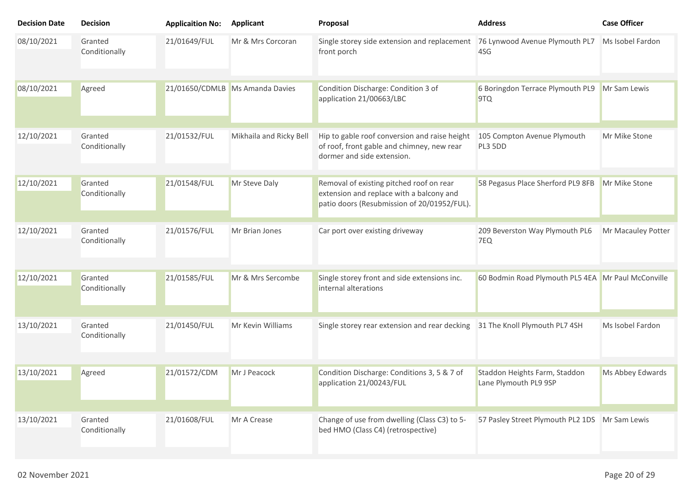| <b>Decision Date</b> | <b>Decision</b>          | <b>Applicaition No:</b> | <b>Applicant</b>                | Proposal                                                                                                                            | <b>Address</b>                                         | <b>Case Officer</b> |
|----------------------|--------------------------|-------------------------|---------------------------------|-------------------------------------------------------------------------------------------------------------------------------------|--------------------------------------------------------|---------------------|
| 08/10/2021           | Granted<br>Conditionally | 21/01649/FUL            | Mr & Mrs Corcoran               | Single storey side extension and replacement 76 Lynwood Avenue Plymouth PL7<br>front porch                                          | 4SG                                                    | Ms Isobel Fardon    |
| 08/10/2021           | Agreed                   |                         | 21/01650/CDMLB Ms Amanda Davies | Condition Discharge: Condition 3 of<br>application 21/00663/LBC                                                                     | 6 Boringdon Terrace Plymouth PL9<br>9TQ                | Mr Sam Lewis        |
| 12/10/2021           | Granted<br>Conditionally | 21/01532/FUL            | Mikhaila and Ricky Bell         | Hip to gable roof conversion and raise height<br>of roof, front gable and chimney, new rear<br>dormer and side extension.           | 105 Compton Avenue Plymouth<br>PL3 5DD                 | Mr Mike Stone       |
| 12/10/2021           | Granted<br>Conditionally | 21/01548/FUL            | Mr Steve Daly                   | Removal of existing pitched roof on rear<br>extension and replace with a balcony and<br>patio doors (Resubmission of 20/01952/FUL). | 58 Pegasus Place Sherford PL9 8FB                      | Mr Mike Stone       |
| 12/10/2021           | Granted<br>Conditionally | 21/01576/FUL            | Mr Brian Jones                  | Car port over existing driveway                                                                                                     | 209 Beverston Way Plymouth PL6<br>7EQ                  | Mr Macauley Potter  |
| 12/10/2021           | Granted<br>Conditionally | 21/01585/FUL            | Mr & Mrs Sercombe               | Single storey front and side extensions inc.<br>internal alterations                                                                | 60 Bodmin Road Plymouth PL5 4EA Mr Paul McConville     |                     |
| 13/10/2021           | Granted<br>Conditionally | 21/01450/FUL            | Mr Kevin Williams               | Single storey rear extension and rear decking                                                                                       | 31 The Knoll Plymouth PL7 4SH                          | Ms Isobel Fardon    |
| 13/10/2021           | Agreed                   | 21/01572/CDM            | Mr J Peacock                    | Condition Discharge: Conditions 3, 5 & 7 of<br>application 21/00243/FUL                                                             | Staddon Heights Farm, Staddon<br>Lane Plymouth PL9 9SP | Ms Abbey Edwards    |
| 13/10/2021           | Granted<br>Conditionally | 21/01608/FUL            | Mr A Crease                     | Change of use from dwelling (Class C3) to 5-<br>bed HMO (Class C4) (retrospective)                                                  | 57 Pasley Street Plymouth PL2 1DS Mr Sam Lewis         |                     |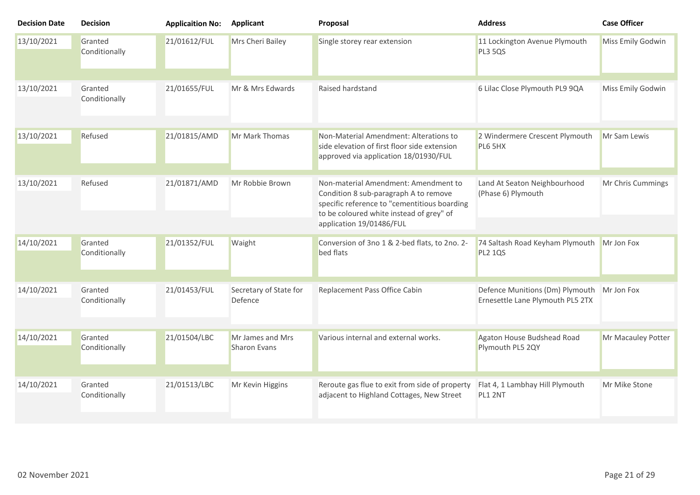| <b>Decision Date</b> | <b>Decision</b>          | <b>Applicaition No:</b> | <b>Applicant</b>                        | Proposal                                                                                                                                                                                              | <b>Address</b>                                                                 | <b>Case Officer</b> |
|----------------------|--------------------------|-------------------------|-----------------------------------------|-------------------------------------------------------------------------------------------------------------------------------------------------------------------------------------------------------|--------------------------------------------------------------------------------|---------------------|
| 13/10/2021           | Granted<br>Conditionally | 21/01612/FUL            | Mrs Cheri Bailey                        | Single storey rear extension                                                                                                                                                                          | 11 Lockington Avenue Plymouth<br>PL3 5QS                                       | Miss Emily Godwin   |
| 13/10/2021           | Granted<br>Conditionally | 21/01655/FUL            | Mr & Mrs Edwards                        | Raised hardstand                                                                                                                                                                                      | 6 Lilac Close Plymouth PL9 9QA                                                 | Miss Emily Godwin   |
| 13/10/2021           | Refused                  | 21/01815/AMD            | Mr Mark Thomas                          | Non-Material Amendment: Alterations to<br>side elevation of first floor side extension<br>approved via application 18/01930/FUL                                                                       | 2 Windermere Crescent Plymouth<br>PL6 5HX                                      | Mr Sam Lewis        |
| 13/10/2021           | Refused                  | 21/01871/AMD            | Mr Robbie Brown                         | Non-material Amendment: Amendment to<br>Condition 8 sub-paragraph A to remove<br>specific reference to "cementitious boarding<br>to be coloured white instead of grey" of<br>application 19/01486/FUL | Land At Seaton Neighbourhood<br>(Phase 6) Plymouth                             | Mr Chris Cummings   |
| 14/10/2021           | Granted<br>Conditionally | 21/01352/FUL            | Waight                                  | Conversion of 3no 1 & 2-bed flats, to 2no. 2-<br>bed flats                                                                                                                                            | 74 Saltash Road Keyham Plymouth<br><b>PL2 1QS</b>                              | Mr Jon Fox          |
| 14/10/2021           | Granted<br>Conditionally | 21/01453/FUL            | Secretary of State for<br>Defence       | Replacement Pass Office Cabin                                                                                                                                                                         | Defence Munitions (Dm) Plymouth Mr Jon Fox<br>Ernesettle Lane Plymouth PL5 2TX |                     |
| 14/10/2021           | Granted<br>Conditionally | 21/01504/LBC            | Mr James and Mrs<br><b>Sharon Evans</b> | Various internal and external works.                                                                                                                                                                  | Agaton House Budshead Road<br>Plymouth PL5 2QY                                 | Mr Macauley Potter  |
| 14/10/2021           | Granted<br>Conditionally | 21/01513/LBC            | Mr Kevin Higgins                        | Reroute gas flue to exit from side of property<br>adjacent to Highland Cottages, New Street                                                                                                           | Flat 4, 1 Lambhay Hill Plymouth<br>PL1 2NT                                     | Mr Mike Stone       |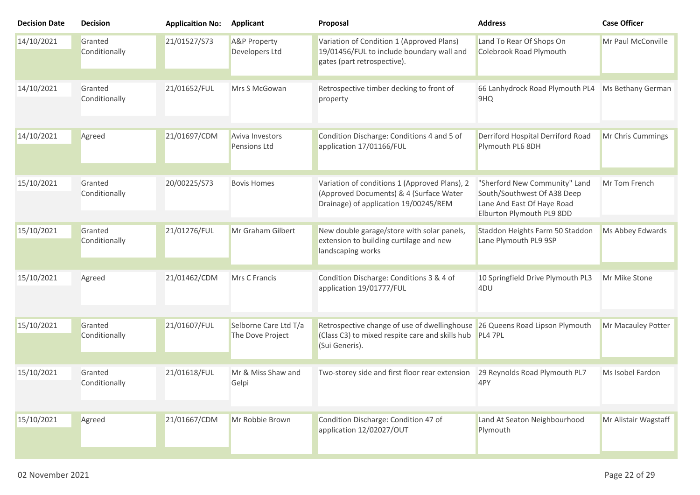| <b>Decision Date</b> | <b>Decision</b>          | <b>Applicaition No:</b> | <b>Applicant</b>                          | Proposal                                                                                                                          | <b>Address</b>                                                                                                          | <b>Case Officer</b>  |
|----------------------|--------------------------|-------------------------|-------------------------------------------|-----------------------------------------------------------------------------------------------------------------------------------|-------------------------------------------------------------------------------------------------------------------------|----------------------|
| 14/10/2021           | Granted<br>Conditionally | 21/01527/S73            | <b>A&amp;P Property</b><br>Developers Ltd | Variation of Condition 1 (Approved Plans)<br>19/01456/FUL to include boundary wall and<br>gates (part retrospective).             | Land To Rear Of Shops On<br>Colebrook Road Plymouth                                                                     | Mr Paul McConville   |
| 14/10/2021           | Granted<br>Conditionally | 21/01652/FUL            | Mrs S McGowan                             | Retrospective timber decking to front of<br>property                                                                              | 66 Lanhydrock Road Plymouth PL4<br>9HQ                                                                                  | Ms Bethany German    |
| 14/10/2021           | Agreed                   | 21/01697/CDM            | Aviva Investors<br><b>Pensions Ltd</b>    | Condition Discharge: Conditions 4 and 5 of<br>application 17/01166/FUL                                                            | Derriford Hospital Derriford Road<br>Plymouth PL6 8DH                                                                   | Mr Chris Cummings    |
| 15/10/2021           | Granted<br>Conditionally | 20/00225/S73            | <b>Bovis Homes</b>                        | Variation of conditions 1 (Approved Plans), 2<br>(Approved Documents) & 4 (Surface Water<br>Drainage) of application 19/00245/REM | "Sherford New Community" Land<br>South/Southwest Of A38 Deep<br>Lane And East Of Haye Road<br>Elburton Plymouth PL9 8DD | Mr Tom French        |
| 15/10/2021           | Granted<br>Conditionally | 21/01276/FUL            | Mr Graham Gilbert                         | New double garage/store with solar panels,<br>extension to building curtilage and new<br>landscaping works                        | Staddon Heights Farm 50 Staddon<br>Lane Plymouth PL9 9SP                                                                | Ms Abbey Edwards     |
| 15/10/2021           | Agreed                   | 21/01462/CDM            | Mrs C Francis                             | Condition Discharge: Conditions 3 & 4 of<br>application 19/01777/FUL                                                              | 10 Springfield Drive Plymouth PL3<br>4 <sub>DU</sub>                                                                    | Mr Mike Stone        |
| 15/10/2021           | Granted<br>Conditionally | 21/01607/FUL            | Selborne Care Ltd T/a<br>The Dove Project | Retrospective change of use of dwellinghouse<br>(Class C3) to mixed respite care and skills hub<br>(Sui Generis).                 | 26 Queens Road Lipson Plymouth<br>PL4 7PL                                                                               | Mr Macauley Potter   |
| 15/10/2021           | Granted<br>Conditionally | 21/01618/FUL            | Mr & Miss Shaw and<br>Gelpi               | Two-storey side and first floor rear extension                                                                                    | 29 Reynolds Road Plymouth PL7<br>4PY                                                                                    | Ms Isobel Fardon     |
| 15/10/2021           | Agreed                   | 21/01667/CDM            | Mr Robbie Brown                           | Condition Discharge: Condition 47 of<br>application 12/02027/OUT                                                                  | Land At Seaton Neighbourhood<br>Plymouth                                                                                | Mr Alistair Wagstaff |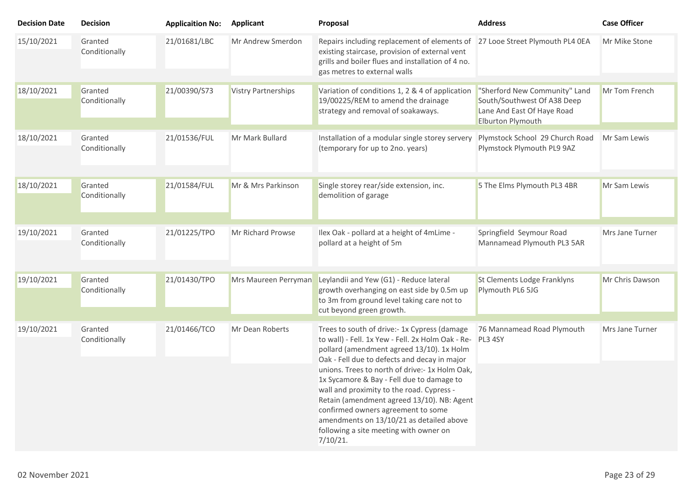| <b>Decision Date</b> | <b>Decision</b>          | <b>Applicaition No:</b> | <b>Applicant</b>                                                                                                                                                                                                                                                                                                               | Proposal                                                                                                                                                                                                            | <b>Address</b>                                                                                                         | <b>Case Officer</b> |
|----------------------|--------------------------|-------------------------|--------------------------------------------------------------------------------------------------------------------------------------------------------------------------------------------------------------------------------------------------------------------------------------------------------------------------------|---------------------------------------------------------------------------------------------------------------------------------------------------------------------------------------------------------------------|------------------------------------------------------------------------------------------------------------------------|---------------------|
| 15/10/2021           | Granted<br>Conditionally | 21/01681/LBC            | Mr Andrew Smerdon                                                                                                                                                                                                                                                                                                              | Repairs including replacement of elements of 27 Looe Street Plymouth PL4 0EA<br>existing staircase, provision of external vent<br>grills and boiler flues and installation of 4 no.<br>gas metres to external walls |                                                                                                                        | Mr Mike Stone       |
| 18/10/2021           | Granted<br>Conditionally | 21/00390/S73            | <b>Vistry Partnerships</b>                                                                                                                                                                                                                                                                                                     | Variation of conditions 1, 2 & 4 of application<br>19/00225/REM to amend the drainage<br>strategy and removal of soakaways.                                                                                         | "Sherford New Community" Land<br>South/Southwest Of A38 Deep<br>Lane And East Of Haye Road<br><b>Elburton Plymouth</b> | Mr Tom French       |
| 18/10/2021           | Granted<br>Conditionally | 21/01536/FUL            | Mr Mark Bullard                                                                                                                                                                                                                                                                                                                | Installation of a modular single storey servery<br>(temporary for up to 2no. years)                                                                                                                                 | Plymstock School 29 Church Road<br>Plymstock Plymouth PL9 9AZ                                                          | Mr Sam Lewis        |
| 18/10/2021           | Granted<br>Conditionally | 21/01584/FUL            | Mr & Mrs Parkinson                                                                                                                                                                                                                                                                                                             | Single storey rear/side extension, inc.<br>demolition of garage                                                                                                                                                     | 5 The Elms Plymouth PL3 4BR                                                                                            | Mr Sam Lewis        |
| 19/10/2021           | Granted<br>Conditionally | 21/01225/TPO            | Mr Richard Prowse                                                                                                                                                                                                                                                                                                              | Ilex Oak - pollard at a height of 4mLime -<br>pollard at a height of 5m                                                                                                                                             | Springfield Seymour Road<br>Mannamead Plymouth PL3 5AR                                                                 | Mrs Jane Turner     |
| 19/10/2021           | Granted<br>Conditionally | 21/01430/TPO            | Mrs Maureen Perryman                                                                                                                                                                                                                                                                                                           | Leylandii and Yew (G1) - Reduce lateral<br>growth overhanging on east side by 0.5m up<br>to 3m from ground level taking care not to<br>cut beyond green growth.                                                     | St Clements Lodge Franklyns<br>Plymouth PL6 5JG                                                                        | Mr Chris Dawson     |
| 19/10/2021           | Granted<br>Conditionally | 21/01466/TCO            | Mr Dean Roberts                                                                                                                                                                                                                                                                                                                | Trees to south of drive:- 1x Cypress (damage<br>to wall) - Fell. 1x Yew - Fell. 2x Holm Oak - Re-<br>pollard (amendment agreed 13/10). 1x Holm<br>Oak - Fell due to defects and decay in major                      | 76 Mannamead Road Plymouth<br>PL3 4SY                                                                                  | Mrs Jane Turner     |
|                      |                          |                         | unions. Trees to north of drive:- 1x Holm Oak,<br>1x Sycamore & Bay - Fell due to damage to<br>wall and proximity to the road. Cypress -<br>Retain (amendment agreed 13/10). NB: Agent<br>confirmed owners agreement to some<br>amendments on 13/10/21 as detailed above<br>following a site meeting with owner on<br>7/10/21. |                                                                                                                                                                                                                     |                                                                                                                        |                     |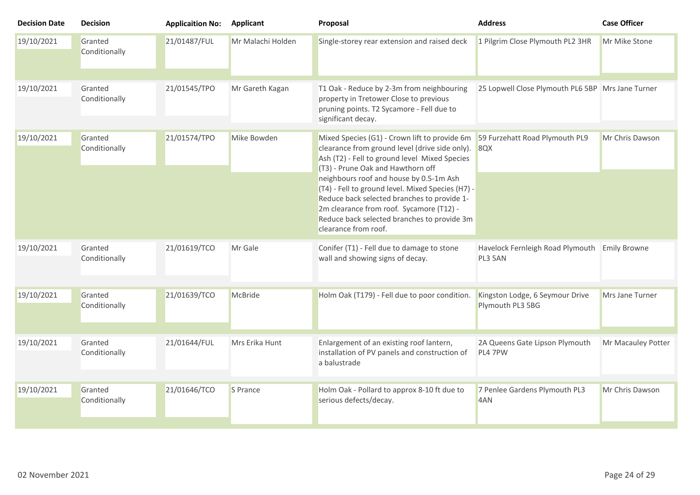| <b>Decision Date</b> | <b>Decision</b>          | <b>Applicaition No:</b> | <b>Applicant</b>  | Proposal                                                                                                                                                                                                                                                       | <b>Address</b>                                      | <b>Case Officer</b> |
|----------------------|--------------------------|-------------------------|-------------------|----------------------------------------------------------------------------------------------------------------------------------------------------------------------------------------------------------------------------------------------------------------|-----------------------------------------------------|---------------------|
| 19/10/2021           | Granted<br>Conditionally | 21/01487/FUL            | Mr Malachi Holden | Single-storey rear extension and raised deck                                                                                                                                                                                                                   | 1 Pilgrim Close Plymouth PL2 3HR                    | Mr Mike Stone       |
| 19/10/2021           | Granted<br>Conditionally | 21/01545/TPO            | Mr Gareth Kagan   | T1 Oak - Reduce by 2-3m from neighbouring<br>property in Tretower Close to previous<br>pruning points. T2 Sycamore - Fell due to<br>significant decay.                                                                                                         | 25 Lopwell Close Plymouth PL6 5BP Mrs Jane Turner   |                     |
| 19/10/2021           | Granted<br>Conditionally | 21/01574/TPO            | Mike Bowden       | Mixed Species (G1) - Crown lift to provide 6m<br>clearance from ground level (drive side only).<br>Ash (T2) - Fell to ground level Mixed Species<br>(T3) - Prune Oak and Hawthorn off                                                                          | 59 Furzehatt Road Plymouth PL9<br>8QX               | Mr Chris Dawson     |
|                      |                          |                         |                   | neighbours roof and house by 0.5-1m Ash<br>(T4) - Fell to ground level. Mixed Species (H7) -<br>Reduce back selected branches to provide 1-<br>2m clearance from roof. Sycamore (T12) -<br>Reduce back selected branches to provide 3m<br>clearance from roof. |                                                     |                     |
| 19/10/2021           | Granted<br>Conditionally | 21/01619/TCO            | Mr Gale           | Conifer (T1) - Fell due to damage to stone<br>wall and showing signs of decay.                                                                                                                                                                                 | Havelock Fernleigh Road Plymouth<br>PL3 5AN         | <b>Emily Browne</b> |
| 19/10/2021           | Granted<br>Conditionally | 21/01639/TCO            | McBride           | Holm Oak (T179) - Fell due to poor condition.                                                                                                                                                                                                                  | Kingston Lodge, 6 Seymour Drive<br>Plymouth PL3 5BG | Mrs Jane Turner     |
| 19/10/2021           | Granted<br>Conditionally | 21/01644/FUL            | Mrs Erika Hunt    | Enlargement of an existing roof lantern,<br>installation of PV panels and construction of<br>a balustrade                                                                                                                                                      | 2A Queens Gate Lipson Plymouth<br>PL4 7PW           | Mr Macauley Potter  |
| 19/10/2021           | Granted<br>Conditionally | 21/01646/TCO            | <b>S</b> Prance   | Holm Oak - Pollard to approx 8-10 ft due to<br>serious defects/decay.                                                                                                                                                                                          | 7 Penlee Gardens Plymouth PL3<br>4AN                | Mr Chris Dawson     |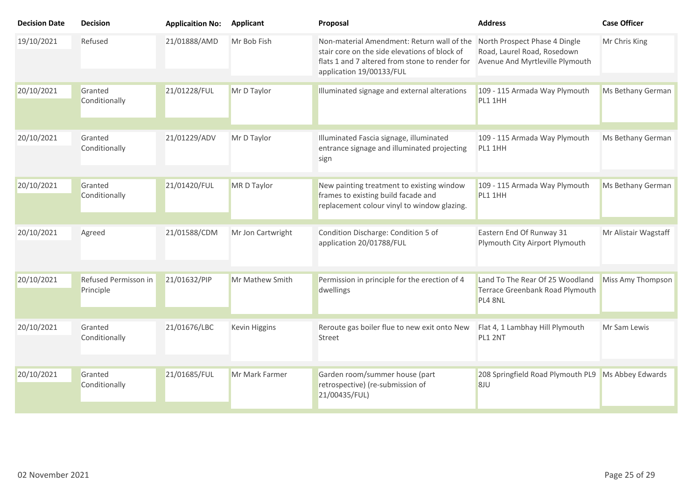| <b>Decision Date</b> | <b>Decision</b>                   | <b>Applicaition No:</b> | <b>Applicant</b>  | Proposal                                                                                                                                                                  | <b>Address</b>                                                                                  | <b>Case Officer</b>  |
|----------------------|-----------------------------------|-------------------------|-------------------|---------------------------------------------------------------------------------------------------------------------------------------------------------------------------|-------------------------------------------------------------------------------------------------|----------------------|
| 19/10/2021           | Refused                           | 21/01888/AMD            | Mr Bob Fish       | Non-material Amendment: Return wall of the<br>stair core on the side elevations of block of<br>flats 1 and 7 altered from stone to render for<br>application 19/00133/FUL | North Prospect Phase 4 Dingle<br>Road, Laurel Road, Rosedown<br>Avenue And Myrtleville Plymouth | Mr Chris King        |
| 20/10/2021           | Granted<br>Conditionally          | 21/01228/FUL            | Mr D Taylor       | Illuminated signage and external alterations                                                                                                                              | 109 - 115 Armada Way Plymouth<br>PL1 1HH                                                        | Ms Bethany German    |
| 20/10/2021           | Granted<br>Conditionally          | 21/01229/ADV            | Mr D Taylor       | Illuminated Fascia signage, illuminated<br>entrance signage and illuminated projecting<br>sign                                                                            | 109 - 115 Armada Way Plymouth<br>PL1 1HH                                                        | Ms Bethany German    |
| 20/10/2021           | Granted<br>Conditionally          | 21/01420/FUL            | <b>MRD</b> Taylor | New painting treatment to existing window<br>frames to existing build facade and<br>replacement colour vinyl to window glazing.                                           | 109 - 115 Armada Way Plymouth<br>PL1 1HH                                                        | Ms Bethany German    |
| 20/10/2021           | Agreed                            | 21/01588/CDM            | Mr Jon Cartwright | Condition Discharge: Condition 5 of<br>application 20/01788/FUL                                                                                                           | Eastern End Of Runway 31<br>Plymouth City Airport Plymouth                                      | Mr Alistair Wagstaff |
| 20/10/2021           | Refused Permisson in<br>Principle | 21/01632/PIP            | Mr Mathew Smith   | Permission in principle for the erection of 4<br>dwellings                                                                                                                | Land To The Rear Of 25 Woodland<br>Terrace Greenbank Road Plymouth<br>PL4 8NL                   | Miss Amy Thompson    |
| 20/10/2021           | Granted<br>Conditionally          | 21/01676/LBC            | Kevin Higgins     | Reroute gas boiler flue to new exit onto New<br>Street                                                                                                                    | Flat 4, 1 Lambhay Hill Plymouth<br>PL1 2NT                                                      | Mr Sam Lewis         |
| 20/10/2021           | Granted<br>Conditionally          | 21/01685/FUL            | Mr Mark Farmer    | Garden room/summer house (part<br>retrospective) (re-submission of<br>21/00435/FUL)                                                                                       | 208 Springfield Road Plymouth PL9<br>8JU                                                        | Ms Abbey Edwards     |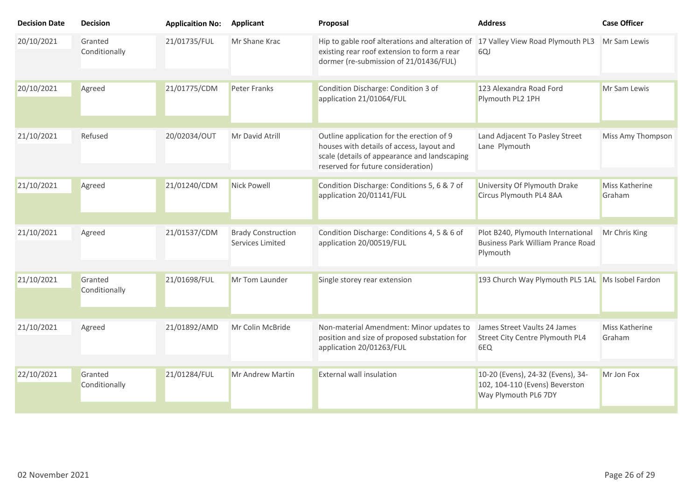| <b>Decision Date</b> | <b>Decision</b>          | <b>Applicaition No:</b> | <b>Applicant</b>                              | Proposal                                                                                                                                                                     | <b>Address</b>                                                                              | <b>Case Officer</b>             |
|----------------------|--------------------------|-------------------------|-----------------------------------------------|------------------------------------------------------------------------------------------------------------------------------------------------------------------------------|---------------------------------------------------------------------------------------------|---------------------------------|
| 20/10/2021           | Granted<br>Conditionally | 21/01735/FUL            | Mr Shane Krac                                 | Hip to gable roof alterations and alteration of 17 Valley View Road Plymouth PL3<br>existing rear roof extension to form a rear<br>dormer (re-submission of 21/01436/FUL)    | 6QJ                                                                                         | Mr Sam Lewis                    |
| 20/10/2021           | Agreed                   | 21/01775/CDM            | Peter Franks                                  | Condition Discharge: Condition 3 of<br>application 21/01064/FUL                                                                                                              | 123 Alexandra Road Ford<br>Plymouth PL2 1PH                                                 | Mr Sam Lewis                    |
| 21/10/2021           | Refused                  | 20/02034/OUT            | Mr David Atrill                               | Outline application for the erection of 9<br>houses with details of access, layout and<br>scale (details of appearance and landscaping<br>reserved for future consideration) | Land Adjacent To Pasley Street<br>Lane Plymouth                                             | Miss Amy Thompson               |
| 21/10/2021           | Agreed                   | 21/01240/CDM            | <b>Nick Powell</b>                            | Condition Discharge: Conditions 5, 6 & 7 of<br>application 20/01141/FUL                                                                                                      | University Of Plymouth Drake<br>Circus Plymouth PL4 8AA                                     | <b>Miss Katherine</b><br>Graham |
| 21/10/2021           | Agreed                   | 21/01537/CDM            | <b>Brady Construction</b><br>Services Limited | Condition Discharge: Conditions 4, 5 & 6 of<br>application 20/00519/FUL                                                                                                      | Plot B240, Plymouth International<br><b>Business Park William Prance Road</b><br>Plymouth   | Mr Chris King                   |
| 21/10/2021           | Granted<br>Conditionally | 21/01698/FUL            | Mr Tom Launder                                | Single storey rear extension                                                                                                                                                 | 193 Church Way Plymouth PL5 1AL Ms Isobel Fardon                                            |                                 |
| 21/10/2021           | Agreed                   | 21/01892/AMD            | Mr Colin McBride                              | Non-material Amendment: Minor updates to<br>position and size of proposed substation for<br>application 20/01263/FUL                                                         | James Street Vaults 24 James<br>Street City Centre Plymouth PL4<br>6EQ                      | Miss Katherine<br>Graham        |
| 22/10/2021           | Granted<br>Conditionally | 21/01284/FUL            | Mr Andrew Martin                              | <b>External wall insulation</b>                                                                                                                                              | 10-20 (Evens), 24-32 (Evens), 34-<br>102, 104-110 (Evens) Beverston<br>Way Plymouth PL6 7DY | Mr Jon Fox                      |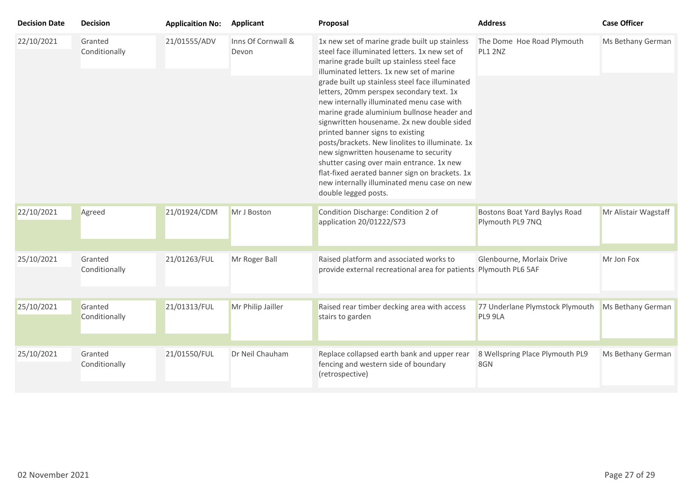| <b>Decision Date</b> | <b>Decision</b>          | <b>Applicaition No:</b> | <b>Applicant</b>            | Proposal                                                                                                                                                                                                                                                                                                                                                                                                                                                                                                                                                                                                                                                                                                                                | <b>Address</b>                                    | <b>Case Officer</b>  |
|----------------------|--------------------------|-------------------------|-----------------------------|-----------------------------------------------------------------------------------------------------------------------------------------------------------------------------------------------------------------------------------------------------------------------------------------------------------------------------------------------------------------------------------------------------------------------------------------------------------------------------------------------------------------------------------------------------------------------------------------------------------------------------------------------------------------------------------------------------------------------------------------|---------------------------------------------------|----------------------|
| 22/10/2021           | Granted<br>Conditionally | 21/01555/ADV            | Inns Of Cornwall &<br>Devon | 1x new set of marine grade built up stainless<br>steel face illuminated letters. 1x new set of<br>marine grade built up stainless steel face<br>illuminated letters. 1x new set of marine<br>grade built up stainless steel face illuminated<br>letters, 20mm perspex secondary text. 1x<br>new internally illuminated menu case with<br>marine grade aluminium bullnose header and<br>signwritten housename. 2x new double sided<br>printed banner signs to existing<br>posts/brackets. New linolites to illuminate. 1x<br>new signwritten housename to security<br>shutter casing over main entrance. 1x new<br>flat-fixed aerated banner sign on brackets. 1x<br>new internally illuminated menu case on new<br>double legged posts. | The Dome Hoe Road Plymouth<br>PL1 2NZ             | Ms Bethany German    |
| 22/10/2021           | Agreed                   | 21/01924/CDM            | Mr J Boston                 | Condition Discharge: Condition 2 of<br>application 20/01222/S73                                                                                                                                                                                                                                                                                                                                                                                                                                                                                                                                                                                                                                                                         | Bostons Boat Yard Baylys Road<br>Plymouth PL9 7NQ | Mr Alistair Wagstaff |
| 25/10/2021           | Granted<br>Conditionally | 21/01263/FUL            | Mr Roger Ball               | Raised platform and associated works to<br>provide external recreational area for patients Plymouth PL6 5AF                                                                                                                                                                                                                                                                                                                                                                                                                                                                                                                                                                                                                             | Glenbourne, Morlaix Drive                         | Mr Jon Fox           |
| 25/10/2021           | Granted<br>Conditionally | 21/01313/FUL            | Mr Philip Jailler           | Raised rear timber decking area with access<br>stairs to garden                                                                                                                                                                                                                                                                                                                                                                                                                                                                                                                                                                                                                                                                         | 77 Underlane Plymstock Plymouth<br>PL9 9LA        | Ms Bethany German    |
| 25/10/2021           | Granted<br>Conditionally | 21/01550/FUL            | Dr Neil Chauham             | Replace collapsed earth bank and upper rear<br>fencing and western side of boundary<br>(retrospective)                                                                                                                                                                                                                                                                                                                                                                                                                                                                                                                                                                                                                                  | 8 Wellspring Place Plymouth PL9<br>8GN            | Ms Bethany German    |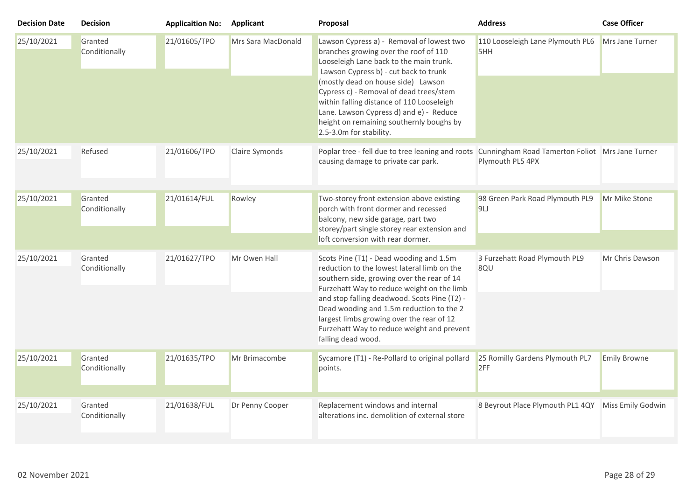| <b>Decision Date</b> | <b>Decision</b>          | <b>Applicaition No:</b> | <b>Applicant</b>      | Proposal                                                                                                                                                                                                                                                                                                                                                                                                               | <b>Address</b>                                    | <b>Case Officer</b>      |
|----------------------|--------------------------|-------------------------|-----------------------|------------------------------------------------------------------------------------------------------------------------------------------------------------------------------------------------------------------------------------------------------------------------------------------------------------------------------------------------------------------------------------------------------------------------|---------------------------------------------------|--------------------------|
| 25/10/2021           | Granted<br>Conditionally | 21/01605/TPO            | Mrs Sara MacDonald    | Lawson Cypress a) - Removal of lowest two<br>branches growing over the roof of 110<br>Looseleigh Lane back to the main trunk.<br>Lawson Cypress b) - cut back to trunk<br>(mostly dead on house side) Lawson<br>Cypress c) - Removal of dead trees/stem<br>within falling distance of 110 Looseleigh<br>Lane. Lawson Cypress d) and e) - Reduce<br>height on remaining southernly boughs by<br>2.5-3.0m for stability. | 110 Looseleigh Lane Plymouth PL6<br>5HH           | Mrs Jane Turner          |
| 25/10/2021           | Refused                  | 21/01606/TPO            | <b>Claire Symonds</b> | Poplar tree - fell due to tree leaning and roots Cunningham Road Tamerton Foliot Mrs Jane Turner<br>causing damage to private car park.                                                                                                                                                                                                                                                                                | Plymouth PL5 4PX                                  |                          |
| 25/10/2021           | Granted<br>Conditionally | 21/01614/FUL            | Rowley                | Two-storey front extension above existing<br>porch with front dormer and recessed<br>balcony, new side garage, part two<br>storey/part single storey rear extension and<br>loft conversion with rear dormer.                                                                                                                                                                                                           | 98 Green Park Road Plymouth PL9<br>9 <sub>u</sub> | Mr Mike Stone            |
| 25/10/2021           | Granted<br>Conditionally | 21/01627/TPO            | Mr Owen Hall          | Scots Pine (T1) - Dead wooding and 1.5m<br>reduction to the lowest lateral limb on the<br>southern side, growing over the rear of 14<br>Furzehatt Way to reduce weight on the limb<br>and stop falling deadwood. Scots Pine (T2) -<br>Dead wooding and 1.5m reduction to the 2<br>largest limbs growing over the rear of 12<br>Furzehatt Way to reduce weight and prevent<br>falling dead wood.                        | 3 Furzehatt Road Plymouth PL9<br>8QU              | Mr Chris Dawson          |
| 25/10/2021           | Granted<br>Conditionally | 21/01635/TPO            | Mr Brimacombe         | Sycamore (T1) - Re-Pollard to original pollard<br>points.                                                                                                                                                                                                                                                                                                                                                              | 25 Romilly Gardens Plymouth PL7<br>2FF            | <b>Emily Browne</b>      |
| 25/10/2021           | Granted<br>Conditionally | 21/01638/FUL            | Dr Penny Cooper       | Replacement windows and internal<br>alterations inc. demolition of external store                                                                                                                                                                                                                                                                                                                                      | 8 Beyrout Place Plymouth PL1 4QY                  | <b>Miss Emily Godwin</b> |